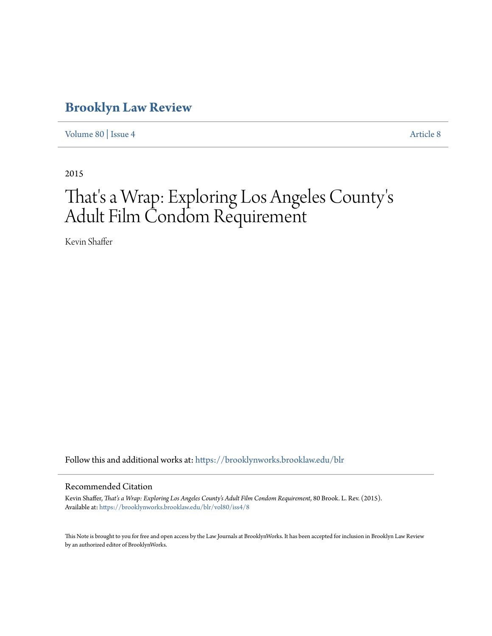# **[Brooklyn Law Review](https://brooklynworks.brooklaw.edu/blr?utm_source=brooklynworks.brooklaw.edu%2Fblr%2Fvol80%2Fiss4%2F8&utm_medium=PDF&utm_campaign=PDFCoverPages)**

[Volume 80](https://brooklynworks.brooklaw.edu/blr/vol80?utm_source=brooklynworks.brooklaw.edu%2Fblr%2Fvol80%2Fiss4%2F8&utm_medium=PDF&utm_campaign=PDFCoverPages) | [Issue 4](https://brooklynworks.brooklaw.edu/blr/vol80/iss4?utm_source=brooklynworks.brooklaw.edu%2Fblr%2Fvol80%2Fiss4%2F8&utm_medium=PDF&utm_campaign=PDFCoverPages) [Article 8](https://brooklynworks.brooklaw.edu/blr/vol80/iss4/8?utm_source=brooklynworks.brooklaw.edu%2Fblr%2Fvol80%2Fiss4%2F8&utm_medium=PDF&utm_campaign=PDFCoverPages)

2015

## That's a Wrap: Exploring Los Angeles County ' s Adult Film Condom Requirement

Kevin Shaffer

Follow this and additional works at: [https://brooklynworks.brooklaw.edu/blr](https://brooklynworks.brooklaw.edu/blr?utm_source=brooklynworks.brooklaw.edu%2Fblr%2Fvol80%2Fiss4%2F8&utm_medium=PDF&utm_campaign=PDFCoverPages)

### Recommended Citation

Kevin Shaffer, *That's a Wrap: Exploring Los Angeles County's Adult Film Condom Requirement*, 80 Brook. L. Rev. (2015). Available at: [https://brooklynworks.brooklaw.edu/blr/vol80/iss4/8](https://brooklynworks.brooklaw.edu/blr/vol80/iss4/8?utm_source=brooklynworks.brooklaw.edu%2Fblr%2Fvol80%2Fiss4%2F8&utm_medium=PDF&utm_campaign=PDFCoverPages)

This Note is brought to you for free and open access by the Law Journals at BrooklynWorks. It has been accepted for inclusion in Brooklyn Law Review by an authorized editor of BrooklynWorks.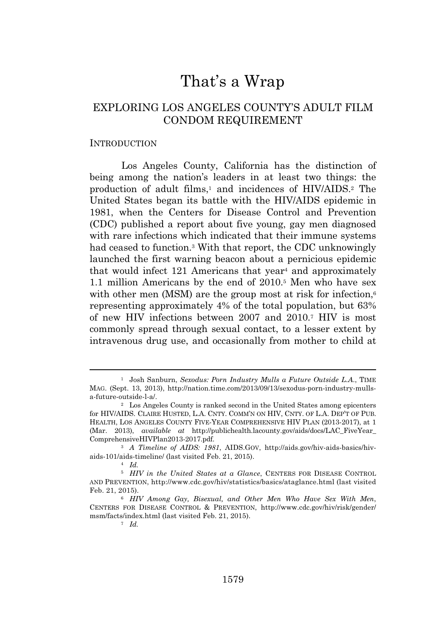## That's a Wrap

## EXPLORING LOS ANGELES COUNTY'S ADULT FILM CONDOM REQUIREMENT

#### **INTRODUCTION**

Los Angeles County, California has the distinction of being among the nation's leaders in at least two things: the production of adult films,<sup>1</sup> and incidences of HIV/AIDS.<sup>2</sup> The United States began its battle with the HIV/AIDS epidemic in 1981, when the Centers for Disease Control and Prevention (CDC) published a report about five young, gay men diagnosed with rare infections which indicated that their immune systems had ceased to function.<sup>3</sup> With that report, the CDC unknowingly launched the first warning beacon about a pernicious epidemic that would infect 121 Americans that year<sup>4</sup> and approximately 1.1 million Americans by the end of 2010.<sup>5</sup> Men who have sex with other men (MSM) are the group most at risk for infection,<sup>6</sup> representing approximately 4% of the total population, but 63% of new HIV infections between 2007 and 2010.<sup>7</sup> HIV is most commonly spread through sexual contact, to a lesser extent by intravenous drug use, and occasionally from mother to child at

<sup>1</sup> Josh Sanburn, *Sexodus: Porn Industry Mulls a Future Outside L.A*., TIME MAG. (Sept. 13, 2013), http://nation.time.com/2013/09/13/sexodus-porn-industry-mullsa-future-outside-l-a/.

<sup>2</sup> Los Angeles County is ranked second in the United States among epicenters for HIV/AIDS. CLAIRE HUSTED, L.A. CNTY. COMM'N ON HIV, CNTY. OF L.A. DEP'T OF PUB. HEALTH, LOS ANGELES COUNTY FIVE-YEAR COMPREHENSIVE HIV PLAN (2013-2017), at 1 (Mar. 2013), *available at* http://publichealth.lacounty.gov/aids/docs/LAC\_FiveYear\_ ComprehensiveHIVPlan2013-2017.pdf.

<sup>3</sup> *A Timeline of AIDS: 1981*, AIDS.GOV, http://aids.gov/hiv-aids-basics/hivaids-101/aids-timeline/ (last visited Feb. 21, 2015).

<sup>4</sup> *Id.*

<sup>5</sup> *HIV in the United States at a Glance*, CENTERS FOR DISEASE CONTROL AND PREVENTION, http://www.cdc.gov/hiv/statistics/basics/ataglance.html (last visited Feb. 21, 2015).

<sup>6</sup> *HIV Among Gay, Bisexual, and Other Men Who Have Sex With Men*, CENTERS FOR DISEASE CONTROL & PREVENTION, http://www.cdc.gov/hiv/risk/gender/ msm/facts/index.html (last visited Feb. 21, 2015).

<sup>7</sup> *Id.*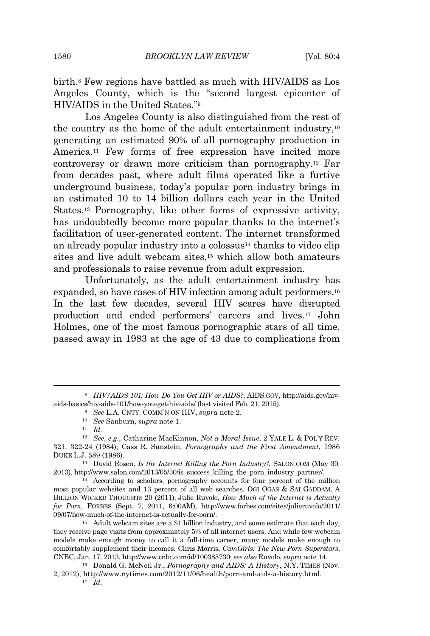birth.<sup>8</sup> Few regions have battled as much with HIV/AIDS as Los Angeles County, which is the "second largest epicenter of HIV/AIDS in the United States." 9

Los Angeles County is also distinguished from the rest of the country as the home of the adult entertainment industry,<sup>10</sup> generating an estimated 90% of all pornography production in America.<sup>11</sup> Few forms of free expression have incited more controversy or drawn more criticism than pornography.<sup>12</sup> Far from decades past, where adult films operated like a furtive underground business, today's popular porn industry brings in an estimated 10 to 14 billion dollars each year in the United States.<sup>13</sup> Pornography, like other forms of expressive activity, has undoubtedly become more popular thanks to the internet's facilitation of user-generated content. The internet transformed an already popular industry into a colossus<sup>14</sup> thanks to video clip sites and live adult webcam sites,<sup>15</sup> which allow both amateurs and professionals to raise revenue from adult expression.

Unfortunately, as the adult entertainment industry has expanded, so have cases of HIV infection among adult performers.<sup>16</sup> In the last few decades, several HIV scares have disrupted production and ended performers' careers and lives.<sup>17</sup> John Holmes, one of the most famous pornographic stars of all time, passed away in 1983 at the age of 43 due to complications from

<sup>8</sup> *HIV/AIDS 101: How Do You Get HIV or AIDS?*, AIDS.GOV, http://aids.gov/hivaids-basics/hiv-aids-101/how-you-get-hiv-aids/ (last visited Feb. 21, 2015).

<sup>9</sup> *See* L.A. CNTY. COMM'N ON HIV, *supra* note 2.

<sup>10</sup> *See* Sanburn, *supra* note 1.

<sup>11</sup> *Id.*

<sup>12</sup> *See, e.g.*, Catharine MacKinnon, *Not a Moral Issue*, 2 YALE L. & POL'Y REV. 321, 322-24 (1984); Cass R. Sunstein, *Pornography and the First Amendment*, 1986 DUKE L.J. 589 (1986).

<sup>13</sup> David Rosen, *Is the Internet Killing the Porn Industry?*, SALON.COM (May 30, 2013), http://www.salon.com/2013/05/30/is\_success\_killing\_the\_porn\_industry\_partner/.

<sup>14</sup> According to scholars, pornography accounts for four percent of the million most popular websites and 13 percent of all web searches. OGI OGAS & SAI GADDAM, A BILLION WICKED THOUGHTS 20 (2011); Julie Ruvolo, *How Much of the Internet is Actually for Porn*, FORBES (Sept. 7, 2011, 6:00AM), http://www.forbes.com/sites/julieruvolo/2011/ 09/07/how-much-of-the-internet-is-actually-for-porn/.

<sup>15</sup> Adult webcam sites are a \$1 billion industry, and some estimate that each day, they receive page visits from approximately 5% of all internet users. And while few webcam models make enough money to call it a full-time career, many models make enough to comfortably supplement their incomes. Chris Morris, *CamGirls: The New Porn Superstars*, CNBC, Jan. 17, 2013, http://www.cnbc.com/id/100385730; *see also* Ruvolo, *supra* note 14.

<sup>16</sup> Donald G. McNeil Jr., *Pornography and AIDS: A History*, N.Y. TIMES (Nov. 2, 2012), http://www.nytimes.com/2012/11/06/health/porn-and-aids-a-history.html.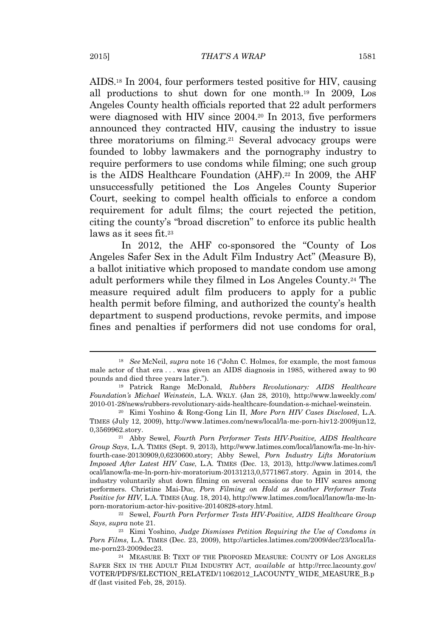AIDS.<sup>18</sup> In 2004, four performers tested positive for HIV, causing all productions to shut down for one month.<sup>19</sup> In 2009, Los Angeles County health officials reported that 22 adult performers were diagnosed with HIV since 2004.<sup>20</sup> In 2013, five performers announced they contracted HIV, causing the industry to issue three moratoriums on filming.<sup>21</sup> Several advocacy groups were founded to lobby lawmakers and the pornography industry to require performers to use condoms while filming; one such group is the AIDS Healthcare Foundation (AHF).<sup>22</sup> In 2009, the AHF unsuccessfully petitioned the Los Angeles County Superior Court, seeking to compel health officials to enforce a condom requirement for adult films; the court rejected the petition, citing the county's "broad discretion" to enforce its public health laws as it sees fit.<sup>23</sup>

In 2012, the AHF co-sponsored the "County of Los Angeles Safer Sex in the Adult Film Industry Act" (Measure B), a ballot initiative which proposed to mandate condom use among adult performers while they filmed in Los Angeles County.<sup>24</sup> The measure required adult film producers to apply for a public health permit before filming, and authorized the county's health department to suspend productions, revoke permits, and impose fines and penalties if performers did not use condoms for oral,

<sup>22</sup> Sewel, *Fourth Porn Performer Tests HIV-Positive, AIDS Healthcare Group Says*, *supra* note 21.

<sup>18</sup> *See* McNeil, *supra* note 16 ("John C. Holmes, for example, the most famous male actor of that era . . . was given an AIDS diagnosis in 1985, withered away to 90 pounds and died three years later.").

<sup>19</sup> Patrick Range McDonald, *Rubbers Revolutionary: AIDS Healthcare Foundation's Michael Weinstein*, L.A. WKLY. (Jan 28, 2010), http://www.laweekly.com/ 2010-01-28/news/rubbers-revolutionary-aids-healthcare-foundation-s-michael-weinstein.

<sup>20</sup> Kimi Yoshino & Rong-Gong Lin II, *More Porn HIV Cases Disclosed*, L.A. TIMES (July 12, 2009), http://www.latimes.com/news/local/la-me-porn-hiv12-2009jun12, 0,3569962.story.

<sup>21</sup> Abby Sewel, *Fourth Porn Performer Tests HIV-Positive, AIDS Healthcare Group Says*, L.A. TIMES (Sept. 9, 2013), http://www.latimes.com/local/lanow/la-me-ln-hivfourth-case-20130909,0,6230600.story; Abby Sewel, *Porn Industry Lifts Moratorium Imposed After Latest HIV Case*, L.A. TIMES (Dec. 13, 2013), http://www.latimes.com/l ocal/lanow/la-me-ln-porn-hiv-moratorium-20131213,0,5771867.story. Again in 2014, the industry voluntarily shut down filming on several occasions due to HIV scares among performers. Christine Mai-Duc, *Porn Filming on Hold as Another Performer Tests Positive for HIV*, L.A. TIMES (Aug. 18, 2014), http://www.latimes.com/local/lanow/la-me-lnporn-moratorium-actor-hiv-positive-20140828-story.html.

<sup>23</sup> Kimi Yoshino, *Judge Dismisses Petition Requiring the Use of Condoms in Porn Films*, L.A. TIMES (Dec. 23, 2009), http://articles.latimes.com/2009/dec/23/local/lame-porn23-2009dec23.

<sup>24</sup> MEASURE B: TEXT OF THE PROPOSED MEASURE: COUNTY OF LOS ANGELES SAFER SEX IN THE ADULT FILM INDUSTRY ACT, *available at* http://rrcc.lacounty.gov/ VOTER/PDFS/ELECTION\_RELATED/11062012\_LACOUNTY\_WIDE\_MEASURE\_B.p df (last visited Feb, 28, 2015).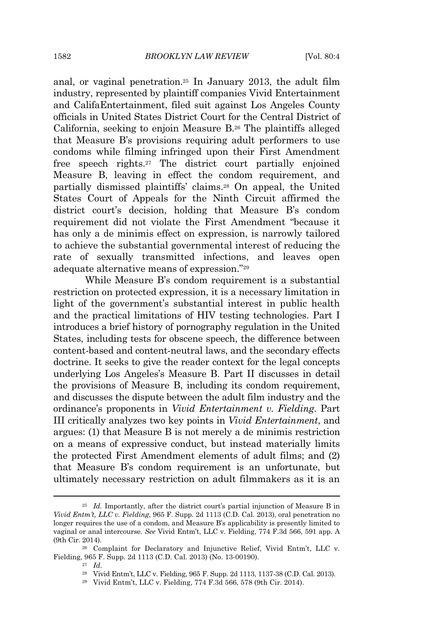anal, or vaginal penetration.<sup>25</sup> In January 2013, the adult film industry, represented by plaintiff companies Vivid Entertainment and CalifaEntertainment, filed suit against Los Angeles County officials in United States District Court for the Central District of California, seeking to enjoin Measure B.<sup>26</sup> The plaintiffs alleged that Measure B's provisions requiring adult performers to use condoms while filming infringed upon their First Amendment free speech rights.<sup>27</sup> The district court partially enjoined Measure B, leaving in effect the condom requirement, and partially dismissed plaintiffs' claims.<sup>28</sup> On appeal, the United States Court of Appeals for the Ninth Circuit affirmed the district court's decision, holding that Measure B's condom requirement did not violate the First Amendment "because it has only a de minimis effect on expression, is narrowly tailored to achieve the substantial governmental interest of reducing the rate of sexually transmitted infections, and leaves open adequate alternative means of expression." 29

While Measure B's condom requirement is a substantial restriction on protected expression, it is a necessary limitation in light of the government's substantial interest in public health and the practical limitations of HIV testing technologies. Part I introduces a brief history of pornography regulation in the United States, including tests for obscene speech, the difference between content-based and content-neutral laws, and the secondary effects doctrine. It seeks to give the reader context for the legal concepts underlying Los Angeles's Measure B. Part II discusses in detail the provisions of Measure B, including its condom requirement, and discusses the dispute between the adult film industry and the ordinance's proponents in *Vivid Entertainment v. Fielding*. Part III critically analyzes two key points in *Vivid Entertainment*, and argues: (1) that Measure B is not merely a de minimis restriction on a means of expressive conduct, but instead materially limits the protected First Amendment elements of adult films; and (2) that Measure B's condom requirement is an unfortunate, but ultimately necessary restriction on adult filmmakers as it is an

<sup>27</sup> *Id.*

<sup>&</sup>lt;sup>25</sup> *Id.* Importantly, after the district court's partial injunction of Measure B in *Vivid Entm't, LLC v. Fielding*, 965 F. Supp. 2d 1113 (C.D. Cal. 2013), oral penetration no longer requires the use of a condom, and Measure B's applicability is presently limited to vaginal or anal intercourse. *See* Vivid Entm't, LLC v. Fielding, 774 F.3d 566, 591 app. A (9th Cir. 2014).

<sup>26</sup> Complaint for Declaratory and Injunctive Relief, Vivid Entm't, LLC v. Fielding, 965 F. Supp. 2d 1113 (C.D. Cal. 2013) (No. 13-00190).

<sup>28</sup> Vivid Entm't, LLC v. Fielding, 965 F. Supp. 2d 1113, 1137-38 (C.D. Cal. 2013).

<sup>29</sup> Vivid Entm't, LLC v. Fielding, 774 F.3d 566, 578 (9th Cir. 2014).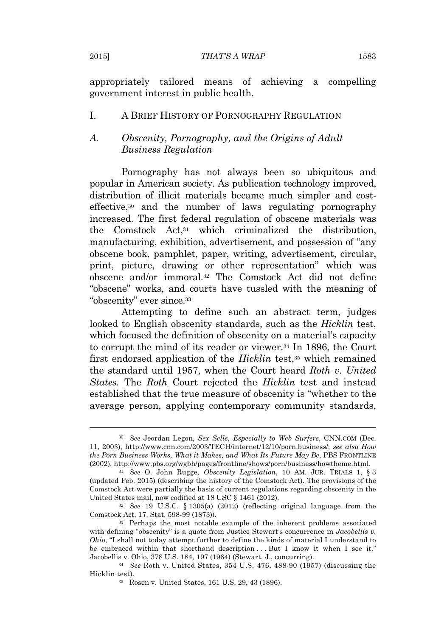appropriately tailored means of achieving a compelling government interest in public health.

#### I. A BRIEF HISTORY OF PORNOGRAPHY REGULATION

### *A. Obscenity, Pornography, and the Origins of Adult Business Regulation*

Pornography has not always been so ubiquitous and popular in American society. As publication technology improved, distribution of illicit materials became much simpler and costeffective,<sup>30</sup> and the number of laws regulating pornography increased. The first federal regulation of obscene materials was the Comstock Act,<sup>31</sup> which criminalized the distribution, manufacturing, exhibition, advertisement, and possession of "any obscene book, pamphlet, paper, writing, advertisement, circular, print, picture, drawing or other representation" which was obscene and/or immoral.<sup>32</sup> The Comstock Act did not define "obscene" works, and courts have tussled with the meaning of "obscenity" ever since.<sup>33</sup>

Attempting to define such an abstract term, judges looked to English obscenity standards, such as the *Hicklin* test, which focused the definition of obscenity on a material's capacity to corrupt the mind of its reader or viewer.<sup>34</sup> In 1896, the Court first endorsed application of the *Hicklin* test,<sup>35</sup> which remained the standard until 1957, when the Court heard *Roth v. United States.* The *Roth* Court rejected the *Hicklin* test and instead established that the true measure of obscenity is "whether to the average person, applying contemporary community standards,

<sup>30</sup> *See* Jeordan Legon, *Sex Sells, Especially to Web Surfers*, CNN.COM (Dec. 11, 2003), http://www.cnn.com/2003/TECH/internet/12/10/porn.business/; *see also How the Porn Business Works, What it Makes, and What Its Future May Be*, PBS FRONTLINE (2002), http://www.pbs.org/wgbh/pages/frontline/shows/porn/business/howtheme.html.

<sup>31</sup> *See* O. John Rugge, *Obscenity Legislation*, 10 AM. JUR. TRIALS 1, § 3 (updated Feb. 2015) (describing the history of the Comstock Act). The provisions of the Comstock Act were partially the basis of current regulations regarding obscenity in the United States mail, now codified at 18 USC § 1461 (2012).

<sup>32</sup> *See* 19 U.S.C. § 1305(a) (2012) (reflecting original language from the Comstock Act, 17. Stat. 598-99 (1873)).

<sup>33</sup> Perhaps the most notable example of the inherent problems associated with defining "obscenity" is a quote from Justice Stewart's concurrence in *Jacobellis v. Ohio*, "I shall not today attempt further to define the kinds of material I understand to be embraced within that shorthand description . . . But I know it when I see it." Jacobellis v. Ohio, 378 U.S. 184, 197 (1964) (Stewart, J., concurring).

<sup>34</sup> *See* Roth v. United States, 354 U.S. 476, 488-90 (1957) (discussing the Hicklin test).

<sup>35</sup> Rosen v. United States, 161 U.S. 29, 43 (1896).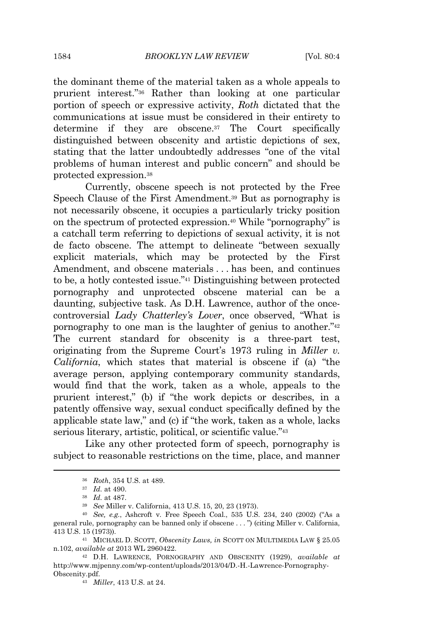the dominant theme of the material taken as a whole appeals to prurient interest." <sup>36</sup> Rather than looking at one particular portion of speech or expressive activity, *Roth* dictated that the communications at issue must be considered in their entirety to determine if they are obscene.<sup>37</sup> The Court specifically distinguished between obscenity and artistic depictions of sex, stating that the latter undoubtedly addresses "one of the vital problems of human interest and public concern" and should be protected expression.<sup>38</sup>

Currently, obscene speech is not protected by the Free Speech Clause of the First Amendment.<sup>39</sup> But as pornography is not necessarily obscene, it occupies a particularly tricky position on the spectrum of protected expression.<sup>40</sup> While "pornography" is a catchall term referring to depictions of sexual activity, it is not de facto obscene. The attempt to delineate "between sexually explicit materials, which may be protected by the First Amendment, and obscene materials . . . has been, and continues to be, a hotly contested issue." <sup>41</sup> Distinguishing between protected pornography and unprotected obscene material can be a daunting, subjective task. As D.H. Lawrence, author of the oncecontroversial *Lady Chatterley's Lover*, once observed, "What is pornography to one man is the laughter of genius to another." 42 The current standard for obscenity is a three-part test, originating from the Supreme Court's 1973 ruling in *Miller v. California*, which states that material is obscene if (a) "the average person, applying contemporary community standards, would find that the work, taken as a whole, appeals to the prurient interest," (b) if "the work depicts or describes, in a patently offensive way, sexual conduct specifically defined by the applicable state law," and (c) if "the work, taken as a whole, lacks serious literary, artistic, political, or scientific value."<sup>43</sup>

Like any other protected form of speech, pornography is subject to reasonable restrictions on the time, place, and manner

<sup>36</sup> *Roth*, 354 U.S. at 489.

<sup>37</sup> *Id.* at 490.

<sup>38</sup> *Id.* at 487.

<sup>39</sup> *See* Miller v. California, 413 U.S. 15, 20, 23 (1973).

<sup>40</sup> *See, e.g.*, Ashcroft v. Free Speech Coal., 535 U.S. 234, 240 (2002) ("As a general rule, pornography can be banned only if obscene . . . ") (citing Miller v. California, 413 U.S. 15 (1973)).

<sup>41</sup> MICHAEL D. SCOTT, *Obscenity Laws, in* SCOTT ON MULTIMEDIA LAW § 25.05 n.102, *available at* 2013 WL 2960422.

<sup>42</sup> D.H. LAWRENCE, PORNOGRAPHY AND OBSCENITY (1929), *available at* http://www.mjpenny.com/wp-content/uploads/2013/04/D.-H.-Lawrence-Pornography-Obscenity.pdf.

<sup>43</sup> *Miller*, 413 U.S. at 24.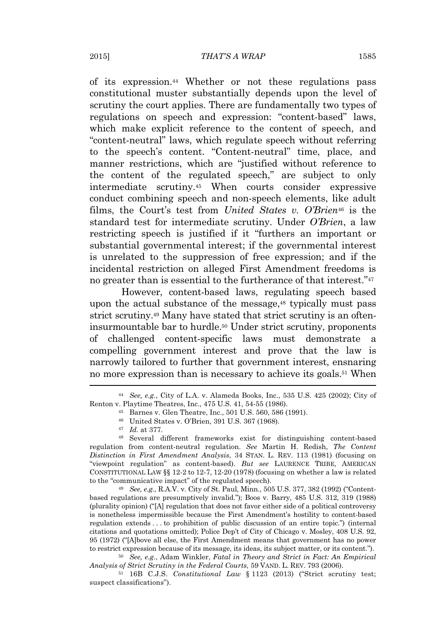of its expression.<sup>44</sup> Whether or not these regulations pass constitutional muster substantially depends upon the level of scrutiny the court applies. There are fundamentally two types of regulations on speech and expression: "content-based" laws, which make explicit reference to the content of speech, and "content-neutral" laws, which regulate speech without referring to the speech's content. "Content-neutral" time, place, and manner restrictions, which are "justified without reference to the content of the regulated speech," are subject to only intermediate scrutiny.<sup>45</sup> When courts consider expressive conduct combining speech and non-speech elements, like adult films, the Court's test from *United States v. O'Brien*<sup>46</sup> is the standard test for intermediate scrutiny. Under *O'Brien*, a law restricting speech is justified if it "furthers an important or substantial governmental interest; if the governmental interest is unrelated to the suppression of free expression; and if the incidental restriction on alleged First Amendment freedoms is no greater than is essential to the furtherance of that interest." 47

However, content-based laws, regulating speech based upon the actual substance of the message,<sup>48</sup> typically must pass strict scrutiny.<sup>49</sup> Many have stated that strict scrutiny is an ofteninsurmountable bar to hurdle.<sup>50</sup> Under strict scrutiny, proponents of challenged content-specific laws must demonstrate a compelling government interest and prove that the law is narrowly tailored to further that government interest, ensnaring no more expression than is necessary to achieve its goals.<sup>51</sup> When

<sup>45</sup> Barnes v. Glen Theatre, Inc., 501 U.S. 560, 586 (1991).

<sup>47</sup> *Id.* at 377.

<sup>48</sup> Several different frameworks exist for distinguishing content-based regulation from content-neutral regulation. *See* Martin H. Redish, *The Content Distinction in First Amendment Analysis*, 34 STAN. L. REV. 113 (1981) (focusing on "viewpoint regulation" as content-based). *But see* LAURENCE TRIBE, AMERICAN CONSTITUTIONAL LAW §§ 12-2 to 12-7, 12-20 (1978) (focusing on whether a law is related to the "communicative impact" of the regulated speech).

<sup>49</sup> *See, e.g.*, R.A.V. v. City of St. Paul, Minn., 505 U.S. 377, 382 (1992) ("Contentbased regulations are presumptively invalid."); Boos v. Barry, 485 U.S. 312, 319 (1988) (plurality opinion) ("[A] regulation that does not favor either side of a political controversy is nonetheless impermissible because the First Amendment's hostility to content-based regulation extends . . . to prohibition of public discussion of an entire topic.") (internal citations and quotations omitted); Police Dep't of City of Chicago v. Mosley, 408 U.S. 92, 95 (1972) ("[A]bove all else, the First Amendment means that government has no power to restrict expression because of its message, its ideas, its subject matter, or its content.").

<sup>50</sup> *See, e.g.*, Adam Winkler, *Fatal in Theory and Strict in Fact: An Empirical Analysis of Strict Scrutiny in the Federal Courts*, 59 VAND. L. REV. 793 (2006).

<sup>51</sup> 16B C.J.S. *Constitutional Law* § 1123 (2013) ("Strict scrutiny test; suspect classifications").

<sup>44</sup> *See, e.g.*, City of L.A. v. Alameda Books, Inc., 535 U.S. 425 (2002); City of Renton v. Playtime Theatres, Inc., 475 U.S. 41, 54-55 (1986).

<sup>46</sup> United States v. O'Brien, 391 U.S. 367 (1968).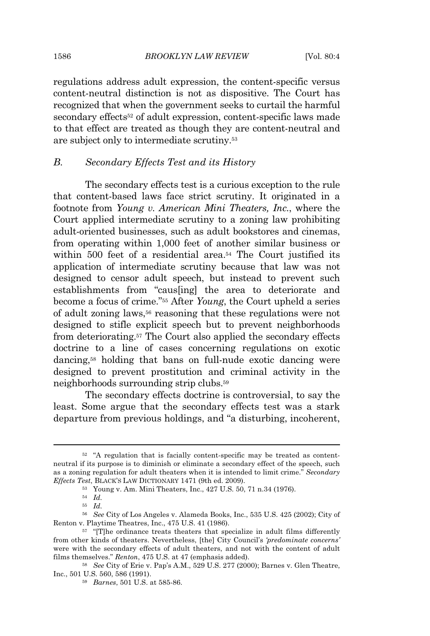regulations address adult expression, the content-specific versus content-neutral distinction is not as dispositive. The Court has recognized that when the government seeks to curtail the harmful secondary effects<sup>52</sup> of adult expression, content-specific laws made to that effect are treated as though they are content-neutral and are subject only to intermediate scrutiny.<sup>53</sup>

#### *B. Secondary Effects Test and its History*

The secondary effects test is a curious exception to the rule that content-based laws face strict scrutiny. It originated in a footnote from *Young v. American Mini Theaters, Inc.*, where the Court applied intermediate scrutiny to a zoning law prohibiting adult-oriented businesses, such as adult bookstores and cinemas, from operating within 1,000 feet of another similar business or within 500 feet of a residential area.<sup>54</sup> The Court justified its application of intermediate scrutiny because that law was not designed to censor adult speech, but instead to prevent such establishments from "caus[ing] the area to deteriorate and become a focus of crime." <sup>55</sup> After *Young*, the Court upheld a series of adult zoning laws,<sup>56</sup> reasoning that these regulations were not designed to stifle explicit speech but to prevent neighborhoods from deteriorating.<sup>57</sup> The Court also applied the secondary effects doctrine to a line of cases concerning regulations on exotic dancing,<sup>58</sup> holding that bans on full-nude exotic dancing were designed to prevent prostitution and criminal activity in the neighborhoods surrounding strip clubs.<sup>59</sup>

The secondary effects doctrine is controversial, to say the least. Some argue that the secondary effects test was a stark departure from previous holdings, and "a disturbing, incoherent,

<sup>52</sup> "A regulation that is facially content-specific may be treated as contentneutral if its purpose is to diminish or eliminate a secondary effect of the speech, such as a zoning regulation for adult theaters when it is intended to limit crime." *Secondary Effects Test*, BLACK'S LAW DICTIONARY 1471 (9th ed. 2009).

<sup>53</sup> Young v. Am. Mini Theaters, Inc., 427 U.S. 50, 71 n.34 (1976).

<sup>54</sup> *Id.*

<sup>55</sup> *Id.*

<sup>56</sup> *See* City of Los Angeles v. Alameda Books, Inc., 535 U.S. 425 (2002); City of Renton v. Playtime Theatres, Inc., 475 U.S. 41 (1986).

<sup>&</sup>lt;sup>57</sup> "[T]he ordinance treats theaters that specialize in adult films differently from other kinds of theaters. Nevertheless, [the] City Council's *'predominate concerns'* were with the secondary effects of adult theaters, and not with the content of adult films themselves." *Renton*, 475 U.S. at 47 (emphasis added).

<sup>58</sup> *See* City of Erie v. Pap's A.M., 529 U.S. 277 (2000); Barnes v. Glen Theatre, Inc., 501 U.S. 560, 586 (1991).

<sup>59</sup> *Barnes*, 501 U.S. at 585-86.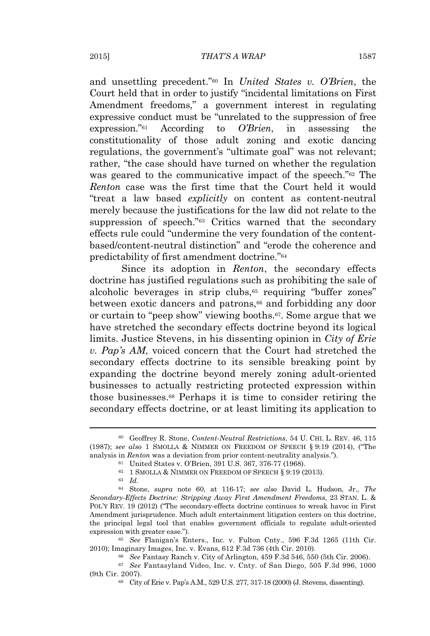and unsettling precedent." <sup>60</sup> In *United States v. O'Brien*, the Court held that in order to justify "incidental limitations on First Amendment freedoms," a government interest in regulating expressive conduct must be "unrelated to the suppression of free expression." <sup>61</sup> According to *O'Brien*, in assessing the constitutionality of those adult zoning and exotic dancing regulations, the government's "ultimate goal" was not relevant; rather, "the case should have turned on whether the regulation was geared to the communicative impact of the speech." <sup>62</sup> The *Renton* case was the first time that the Court held it would "treat a law based *explicitly* on content as content-neutral merely because the justifications for the law did not relate to the suppression of speech."<sup>63</sup> Critics warned that the secondary effects rule could "undermine the very foundation of the contentbased/content-neutral distinction" and "erode the coherence and predictability of first amendment doctrine." 64

Since its adoption in *Renton*, the secondary effects doctrine has justified regulations such as prohibiting the sale of alcoholic beverages in strip clubs,<sup>65</sup> requiring "buffer zones" between exotic dancers and patrons,<sup>66</sup> and forbidding any door or curtain to "peep show" viewing booths.67. Some argue that we have stretched the secondary effects doctrine beyond its logical limits. Justice Stevens, in his dissenting opinion in *City of Erie v. Pap's AM*, voiced concern that the Court had stretched the secondary effects doctrine to its sensible breaking point by expanding the doctrine beyond merely zoning adult-oriented businesses to actually restricting protected expression within those businesses.<sup>68</sup> Perhaps it is time to consider retiring the secondary effects doctrine, or at least limiting its application to

<sup>65</sup> *See* Flanigan's Enters., Inc. v. Fulton Cnty., 596 F.3d 1265 (11th Cir. 2010); Imaginary Images, Inc. v. Evans, 612 F.3d 736 (4th Cir. 2010).

<sup>60</sup> Geoffrey R. Stone, *Content-Neutral Restrictions*, 54 U. CHI. L. REV. 46, 115 (1987); *see also* 1 SMOLLA & NIMMER ON FREEDOM OF SPEECH § 9:19 (2014), ("The analysis in *Renton* was a deviation from prior content-neutrality analysis.").

<sup>61</sup> United States v. O'Brien, 391 U.S. 367, 376-77 (1968).

<sup>62</sup> 1 SMOLLA & NIMMER ON FREEDOM OF SPEECH § 9:19 (2013).

<sup>63</sup> *Id.*

<sup>64</sup> Stone, *supra* note 60, at 116-17; *see also* David L. Hudson, Jr., *The Secondary-Effects Doctrine: Stripping Away First Amendment Freedoms*, 23 STAN. L. & POL'Y REV. 19 (2012) ("The secondary-effects doctrine continues to wreak havoc in First Amendment jurisprudence. Much adult entertainment litigation centers on this doctrine, the principal legal tool that enables government officials to regulate adult-oriented expression with greater ease.").

<sup>66</sup> *See* Fantasy Ranch v. City of Arlington, 459 F.3d 546, 550 (5th Cir. 2006).

<sup>67</sup> *See* Fantasyland Video, Inc. v. Cnty. of San Diego, 505 F.3d 996, 1000 (9th Cir. 2007).

<sup>68</sup> City of Erie v. Pap's A.M., 529 U.S. 277, 317-18 (2000) (J. Stevens, dissenting).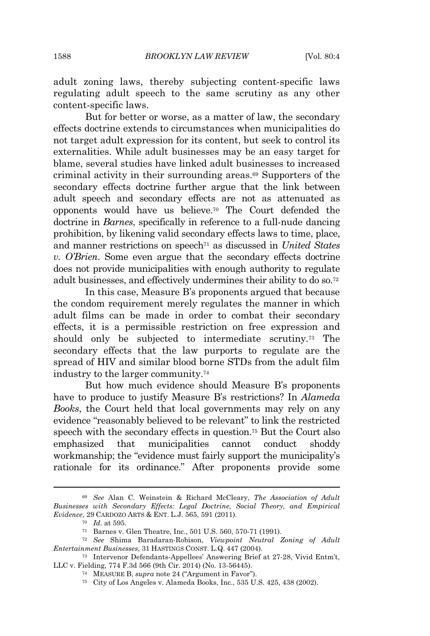adult zoning laws, thereby subjecting content-specific laws regulating adult speech to the same scrutiny as any other content-specific laws.

But for better or worse, as a matter of law, the secondary effects doctrine extends to circumstances when municipalities do not target adult expression for its content, but seek to control its externalities. While adult businesses may be an easy target for blame, several studies have linked adult businesses to increased criminal activity in their surrounding areas.<sup>69</sup> Supporters of the secondary effects doctrine further argue that the link between adult speech and secondary effects are not as attenuated as opponents would have us believe.<sup>70</sup> The Court defended the doctrine in *Barnes*, specifically in reference to a full-nude dancing prohibition, by likening valid secondary effects laws to time, place, and manner restrictions on speech<sup>71</sup> as discussed in *United States v. O'Brien*. Some even argue that the secondary effects doctrine does not provide municipalities with enough authority to regulate adult businesses, and effectively undermines their ability to do so.<sup>72</sup>

In this case, Measure B's proponents argued that because the condom requirement merely regulates the manner in which adult films can be made in order to combat their secondary effects, it is a permissible restriction on free expression and should only be subjected to intermediate scrutiny.<sup>73</sup> The secondary effects that the law purports to regulate are the spread of HIV and similar blood borne STDs from the adult film industry to the larger community.<sup>74</sup>

But how much evidence should Measure B's proponents have to produce to justify Measure B's restrictions? In *Alameda Books*, the Court held that local governments may rely on any evidence "reasonably believed to be relevant" to link the restricted speech with the secondary effects in question.<sup>75</sup> But the Court also emphasized that municipalities cannot conduct shoddy workmanship; the "evidence must fairly support the municipality's rationale for its ordinance." After proponents provide some

<sup>69</sup> *See* Alan C. Weinstein & Richard McCleary, *The Association of Adult Businesses with Secondary Effects: Legal Doctrine, Social Theory, and Empirical Evidence*, 29 CARDOZO ARTS & ENT. L.J. 565, 591 (2011).

<sup>70</sup> *Id.* at 595.

<sup>71</sup> Barnes v. Glen Theatre, Inc., 501 U.S. 560, 570-71 (1991).

<sup>72</sup> *See* Shima Baradaran-Robison, *Viewpoint Neutral Zoning of Adult Entertainment Businesses*, 31 HASTINGS CONST. L.Q. 447 (2004).

<sup>73</sup> Intervenor Defendants-Appellees' Answering Brief at 27-28, Vivid Entm't, LLC v. Fielding, 774 F.3d 566 (9th Cir. 2014) (No. 13-56445).

<sup>74</sup> MEASURE B, *supra* note 24 ("Argument in Favor").

<sup>75</sup> City of Los Angeles v. Alameda Books, Inc., 535 U.S. 425, 438 (2002).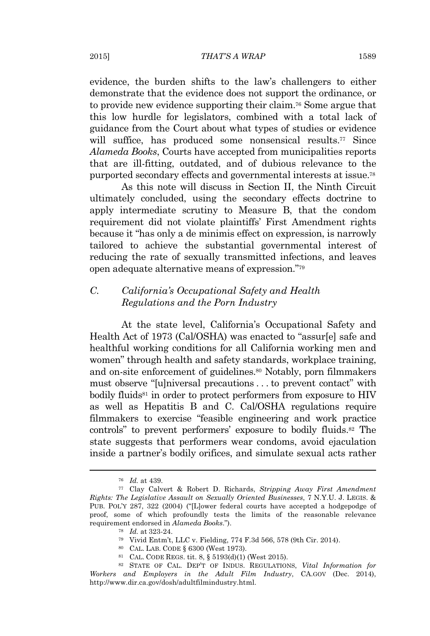evidence, the burden shifts to the law's challengers to either demonstrate that the evidence does not support the ordinance, or to provide new evidence supporting their claim.<sup>76</sup> Some argue that this low hurdle for legislators, combined with a total lack of guidance from the Court about what types of studies or evidence will suffice, has produced some nonsensical results.<sup>77</sup> Since *Alameda Books*, Courts have accepted from municipalities reports that are ill-fitting, outdated, and of dubious relevance to the purported secondary effects and governmental interests at issue.<sup>78</sup>

As this note will discuss in Section II, the Ninth Circuit ultimately concluded, using the secondary effects doctrine to apply intermediate scrutiny to Measure B, that the condom requirement did not violate plaintiffs' First Amendment rights because it "has only a de minimis effect on expression, is narrowly tailored to achieve the substantial governmental interest of reducing the rate of sexually transmitted infections, and leaves open adequate alternative means of expression." 79

## *C. California's Occupational Safety and Health Regulations and the Porn Industry*

At the state level, California's Occupational Safety and Health Act of 1973 (Cal/OSHA) was enacted to "assur[e] safe and healthful working conditions for all California working men and women" through health and safety standards, workplace training, and on-site enforcement of guidelines.<sup>80</sup> Notably, porn filmmakers must observe "[u]niversal precautions . . . to prevent contact" with bodily fluids<sup>81</sup> in order to protect performers from exposure to HIV as well as Hepatitis B and C. Cal/OSHA regulations require filmmakers to exercise "feasible engineering and work practice controls" to prevent performers' exposure to bodily fluids.<sup>82</sup> The state suggests that performers wear condoms, avoid ejaculation inside a partner's bodily orifices, and simulate sexual acts rather

- <sup>79</sup> Vivid Entm't, LLC v. Fielding, 774 F.3d 566, 578 (9th Cir. 2014).
- <sup>80</sup> CAL. LAB. CODE § 6300 (West 1973).
- <sup>81</sup> CAL. CODE REGS. tit. 8, § 5193(d)(1) (West 2015).

<sup>76</sup> *Id.* at 439.

<sup>77</sup> Clay Calvert & Robert D. Richards, *Stripping Away First Amendment Rights: The Legislative Assault on Sexually Oriented Businesses*, 7 N.Y.U. J. LEGIS. & PUB. POL'Y 287, 322 (2004) ("[L]ower federal courts have accepted a hodgepodge of proof, some of which profoundly tests the limits of the reasonable relevance requirement endorsed in *Alameda Books*.").

<sup>78</sup> *Id.* at 323-24.

<sup>82</sup> STATE OF CAL. DEP'T OF INDUS. REGULATIONS, *Vital Information for Workers and Employers in the Adult Film Industry*, CA.GOV (Dec. 2014), http://www.dir.ca.gov/dosh/adultfilmindustry.html.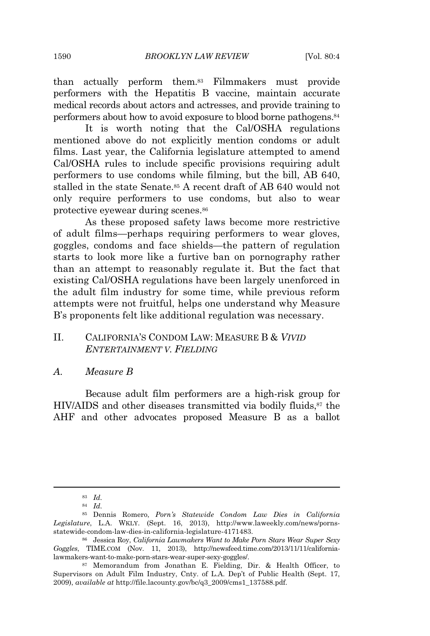than actually perform them.<sup>83</sup> Filmmakers must provide performers with the Hepatitis B vaccine, maintain accurate medical records about actors and actresses, and provide training to performers about how to avoid exposure to blood borne pathogens.<sup>84</sup>

It is worth noting that the Cal/OSHA regulations mentioned above do not explicitly mention condoms or adult films. Last year, the California legislature attempted to amend Cal/OSHA rules to include specific provisions requiring adult performers to use condoms while filming, but the bill, AB 640, stalled in the state Senate.<sup>85</sup> A recent draft of AB 640 would not only require performers to use condoms, but also to wear protective eyewear during scenes.<sup>86</sup>

As these proposed safety laws become more restrictive of adult films—perhaps requiring performers to wear gloves, goggles, condoms and face shields—the pattern of regulation starts to look more like a furtive ban on pornography rather than an attempt to reasonably regulate it. But the fact that existing Cal/OSHA regulations have been largely unenforced in the adult film industry for some time, while previous reform attempts were not fruitful, helps one understand why Measure B's proponents felt like additional regulation was necessary.

## II. CALIFORNIA'S CONDOM LAW: MEASURE B & *VIVID ENTERTAINMENT V. FIELDING*

#### *A. Measure B*

Because adult film performers are a high-risk group for HIV/AIDS and other diseases transmitted via bodily fluids,<sup>87</sup> the AHF and other advocates proposed Measure B as a ballot

<sup>83</sup> *Id.*

<sup>84</sup> *Id.*

<sup>85</sup> Dennis Romero, *Porn's Statewide Condom Law Dies in California Legislature*, L.A. WKLY. (Sept. 16, 2013), http://www.laweekly.com/news/pornsstatewide-condom-law-dies-in-california-legislature-4171483.

<sup>86</sup> Jessica Roy, *California Lawmakers Want to Make Porn Stars Wear Super Sexy Goggles*, TIME.COM (Nov. 11, 2013), http://newsfeed.time.com/2013/11/11/californialawmakers-want-to-make-porn-stars-wear-super-sexy-goggles/.

<sup>87</sup> Memorandum from Jonathan E. Fielding, Dir. & Health Officer, to Supervisors on Adult Film Industry, Cnty. of L.A. Dep't of Public Health (Sept. 17, 2009), *available at* http://file.lacounty.gov/bc/q3\_2009/cms1\_137588.pdf.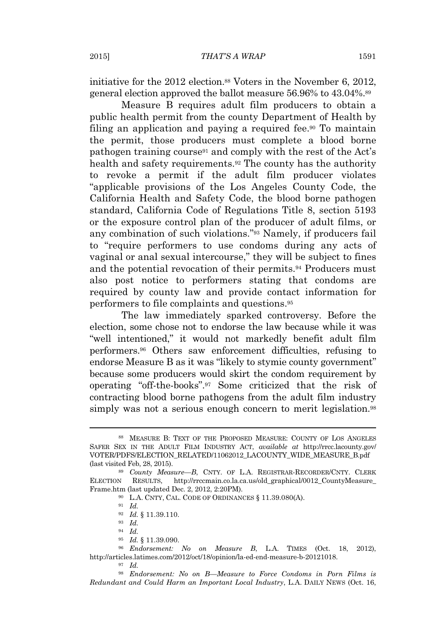initiative for the 2012 election.<sup>88</sup> Voters in the November 6, 2012, general election approved the ballot measure 56.96% to 43.04%.<sup>89</sup>

Measure B requires adult film producers to obtain a public health permit from the county Department of Health by filing an application and paying a required fee.<sup>90</sup> To maintain the permit, those producers must complete a blood borne pathogen training course<sup>91</sup> and comply with the rest of the Act's health and safety requirements.<sup>92</sup> The county has the authority to revoke a permit if the adult film producer violates "applicable provisions of the Los Angeles County Code, the California Health and Safety Code, the blood borne pathogen standard, California Code of Regulations Title 8, section 5193 or the exposure control plan of the producer of adult films, or any combination of such violations." <sup>93</sup> Namely, if producers fail to "require performers to use condoms during any acts of vaginal or anal sexual intercourse," they will be subject to fines and the potential revocation of their permits.<sup>94</sup> Producers must also post notice to performers stating that condoms are required by county law and provide contact information for performers to file complaints and questions.<sup>95</sup>

The law immediately sparked controversy. Before the election, some chose not to endorse the law because while it was "well intentioned," it would not markedly benefit adult film performers.<sup>96</sup> Others saw enforcement difficulties, refusing to endorse Measure B as it was "likely to stymie county government" because some producers would skirt the condom requirement by operating "off-the-books". <sup>97</sup> Some criticized that the risk of contracting blood borne pathogens from the adult film industry simply was not a serious enough concern to merit legislation.<sup>98</sup>

<sup>88</sup> MEASURE B: TEXT OF THE PROPOSED MEASURE: COUNTY OF LOS ANGELES SAFER SEX IN THE ADULT FILM INDUSTRY ACT, *available at* http://rrcc.lacounty.gov/ VOTER/PDFS/ELECTION\_RELATED/11062012\_LACOUNTY\_WIDE\_MEASURE\_B.pdf (last visited Feb, 28, 2015).

<sup>89</sup> *County Measure—B*, CNTY. OF L.A. REGISTRAR-RECORDER/CNTY. CLERK ELECTION RESULTS, http://rrccmain.co.la.ca.us/old\_graphical/0012\_CountyMeasure\_ Frame.htm (last updated Dec. 2, 2012, 2:20PM).

<sup>90</sup> L.A. CNTY, CAL. CODE OF ORDINANCES § 11.39.080(A).

<sup>91</sup> *Id.*

<sup>92</sup> *Id.* § 11.39.110.

<sup>93</sup> *Id.*

<sup>94</sup> *Id.*

<sup>95</sup> *Id.* § 11.39.090.

<sup>96</sup> *Endorsement: No on Measure B*, L.A. TIMES (Oct. 18, 2012), http://articles.latimes.com/2012/oct/18/opinion/la-ed-end-measure-b-20121018.

<sup>97</sup> *Id.*

<sup>98</sup> *Endorsement: No on B—Measure to Force Condoms in Porn Films is Redundant and Could Harm an Important Local Industry*, L.A. DAILY NEWS (Oct. 16,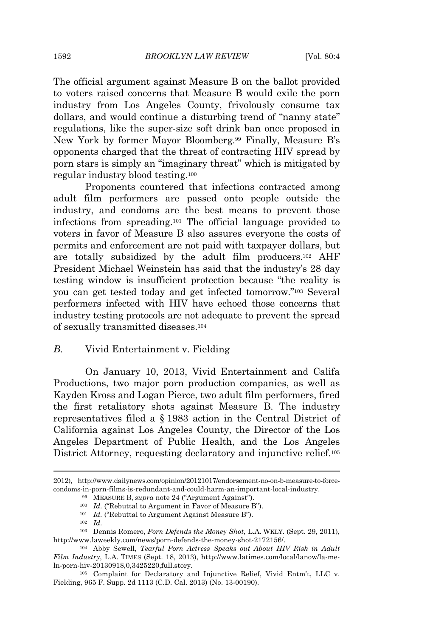The official argument against Measure B on the ballot provided to voters raised concerns that Measure B would exile the porn industry from Los Angeles County, frivolously consume tax dollars, and would continue a disturbing trend of "nanny state" regulations, like the super-size soft drink ban once proposed in New York by former Mayor Bloomberg.<sup>99</sup> Finally, Measure B's opponents charged that the threat of contracting HIV spread by porn stars is simply an "imaginary threat" which is mitigated by regular industry blood testing.<sup>100</sup>

Proponents countered that infections contracted among adult film performers are passed onto people outside the industry, and condoms are the best means to prevent those infections from spreading.<sup>101</sup> The official language provided to voters in favor of Measure B also assures everyone the costs of permits and enforcement are not paid with taxpayer dollars, but are totally subsidized by the adult film producers.<sup>102</sup> AHF President Michael Weinstein has said that the industry's 28 day testing window is insufficient protection because "the reality is you can get tested today and get infected tomorrow." <sup>103</sup> Several performers infected with HIV have echoed those concerns that industry testing protocols are not adequate to prevent the spread of sexually transmitted diseases.<sup>104</sup>

## *B.* Vivid Entertainment v. Fielding

On January 10, 2013, Vivid Entertainment and Califa Productions, two major porn production companies, as well as Kayden Kross and Logan Pierce, two adult film performers, fired the first retaliatory shots against Measure B. The industry representatives filed a § 1983 action in the Central District of California against Los Angeles County, the Director of the Los Angeles Department of Public Health, and the Los Angeles District Attorney, requesting declaratory and injunctive relief.<sup>105</sup>

<sup>2012),</sup> http://www.dailynews.com/opinion/20121017/endorsement-no-on-b-measure-to-forcecondoms-in-porn-films-is-redundant-and-could-harm-an-important-local-industry.

<sup>99</sup> MEASURE B, *supra* note 24 ("Argument Against").

<sup>&</sup>lt;sup>100</sup> *Id.* ("Rebuttal to Argument in Favor of Measure B").

<sup>&</sup>lt;sup>101</sup> *Id.* ("Rebuttal to Argument Against Measure B").

<sup>102</sup> *Id.*

<sup>103</sup> Dennis Romero, *Porn Defends the Money Shot*, L.A. WKLY. (Sept. 29, 2011), http://www.laweekly.com/news/porn-defends-the-money-shot-2172156/.

<sup>104</sup> Abby Sewell, *Tearful Porn Actress Speaks out About HIV Risk in Adult Film Industry*, L.A. TIMES (Sept. 18, 2013), http://www.latimes.com/local/lanow/la-meln-porn-hiv-20130918,0,3425220,full.story.

<sup>105</sup> Complaint for Declaratory and Injunctive Relief, Vivid Entm't, LLC v. Fielding, 965 F. Supp. 2d 1113 (C.D. Cal. 2013) (No. 13-00190).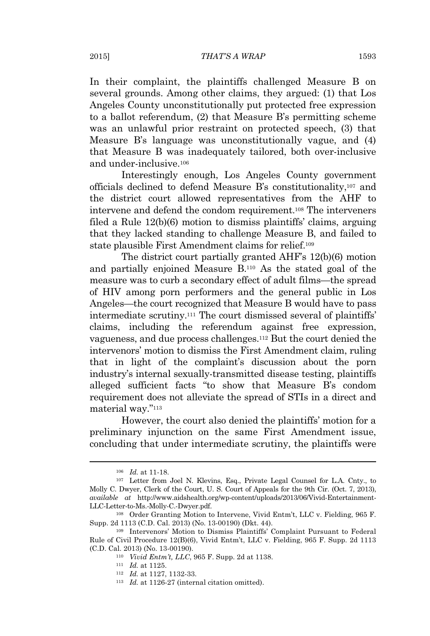In their complaint, the plaintiffs challenged Measure B on several grounds. Among other claims, they argued: (1) that Los Angeles County unconstitutionally put protected free expression to a ballot referendum, (2) that Measure B's permitting scheme was an unlawful prior restraint on protected speech, (3) that Measure B's language was unconstitutionally vague, and (4) that Measure B was inadequately tailored, both over-inclusive and under-inclusive.<sup>106</sup>

Interestingly enough, Los Angeles County government officials declined to defend Measure B's constitutionality,<sup>107</sup> and the district court allowed representatives from the AHF to intervene and defend the condom requirement.<sup>108</sup> The interveners filed a Rule 12(b)(6) motion to dismiss plaintiffs' claims, arguing that they lacked standing to challenge Measure B, and failed to state plausible First Amendment claims for relief.<sup>109</sup>

The district court partially granted AHF's 12(b)(6) motion and partially enjoined Measure B.<sup>110</sup> As the stated goal of the measure was to curb a secondary effect of adult films—the spread of HIV among porn performers and the general public in Los Angeles—the court recognized that Measure B would have to pass intermediate scrutiny.<sup>111</sup> The court dismissed several of plaintiffs' claims, including the referendum against free expression, vagueness, and due process challenges.<sup>112</sup> But the court denied the intervenors' motion to dismiss the First Amendment claim, ruling that in light of the complaint's discussion about the porn industry's internal sexually-transmitted disease testing, plaintiffs alleged sufficient facts "to show that Measure B's condom requirement does not alleviate the spread of STIs in a direct and material way." 113

However, the court also denied the plaintiffs' motion for a preliminary injunction on the same First Amendment issue, concluding that under intermediate scrutiny, the plaintiffs were

<sup>106</sup> *Id.* at 11-18.

<sup>107</sup> Letter from Joel N. Klevins, Esq., Private Legal Counsel for L.A. Cnty., to Molly C. Dwyer, Clerk of the Court, U. S. Court of Appeals for the 9th Cir. (Oct. 7, 2013), *available at* http://www.aidshealth.org/wp-content/uploads/2013/06/Vivid-Entertainment-LLC-Letter-to-Ms.-Molly-C.-Dwyer.pdf.

<sup>108</sup> Order Granting Motion to Intervene, Vivid Entm't, LLC v. Fielding, 965 F. Supp. 2d 1113 (C.D. Cal. 2013) (No. 13-00190) (Dkt. 44).

<sup>109</sup> Intervenors' Motion to Dismiss Plaintiffs' Complaint Pursuant to Federal Rule of Civil Procedure 12(B)(6), Vivid Entm't, LLC v. Fielding, 965 F. Supp. 2d 1113 (C.D. Cal. 2013) (No. 13-00190).

<sup>110</sup> *Vivid Entm't, LLC*, 965 F. Supp. 2d at 1138.

<sup>111</sup> *Id.* at 1125.

<sup>112</sup> *Id.* at 1127, 1132-33.

<sup>113</sup> *Id.* at 1126-27 (internal citation omitted).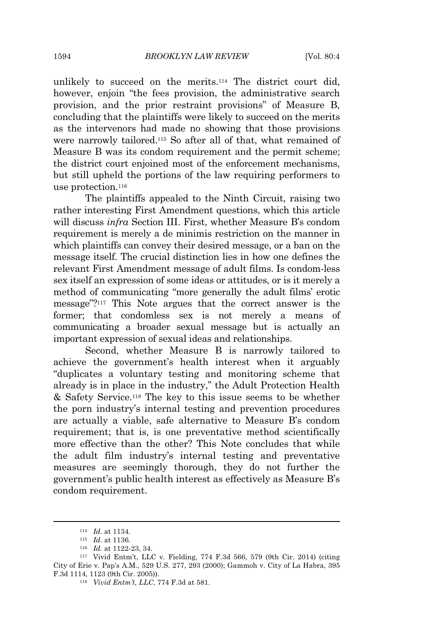unlikely to succeed on the merits.<sup>114</sup> The district court did, however, enjoin "the fees provision, the administrative search provision, and the prior restraint provisions" of Measure B, concluding that the plaintiffs were likely to succeed on the merits as the intervenors had made no showing that those provisions were narrowly tailored.<sup>115</sup> So after all of that, what remained of Measure B was its condom requirement and the permit scheme; the district court enjoined most of the enforcement mechanisms, but still upheld the portions of the law requiring performers to use protection.<sup>116</sup>

The plaintiffs appealed to the Ninth Circuit, raising two rather interesting First Amendment questions, which this article will discuss *infra* Section III. First, whether Measure B's condom requirement is merely a de minimis restriction on the manner in which plaintiffs can convey their desired message, or a ban on the message itself. The crucial distinction lies in how one defines the relevant First Amendment message of adult films. Is condom-less sex itself an expression of some ideas or attitudes, or is it merely a method of communicating "more generally the adult films' erotic message"? <sup>117</sup> This Note argues that the correct answer is the former; that condomless sex is not merely a means of communicating a broader sexual message but is actually an important expression of sexual ideas and relationships.

Second, whether Measure B is narrowly tailored to achieve the government's health interest when it arguably "duplicates a voluntary testing and monitoring scheme that already is in place in the industry," the Adult Protection Health & Safety Service.<sup>118</sup> The key to this issue seems to be whether the porn industry's internal testing and prevention procedures are actually a viable, safe alternative to Measure B's condom requirement; that is, is one preventative method scientifically more effective than the other? This Note concludes that while the adult film industry's internal testing and preventative measures are seemingly thorough, they do not further the government's public health interest as effectively as Measure B's condom requirement.

<sup>114</sup> *Id.* at 1134.

<sup>115</sup> *Id.* at 1136*.*

<sup>116</sup> *Id.* at 1122-23, 34.

<sup>117</sup> Vivid Entm't, LLC v. Fielding, 774 F.3d 566, 579 (9th Cir. 2014) (citing City of Erie v. Pap's A.M., 529 U.S. 277, 293 (2000); Gammoh v. City of La Habra, 395 F.3d 1114, 1123 (9th Cir. 2005)).

<sup>118</sup> *Vivid Entm't, LLC*, 774 F.3d at 581.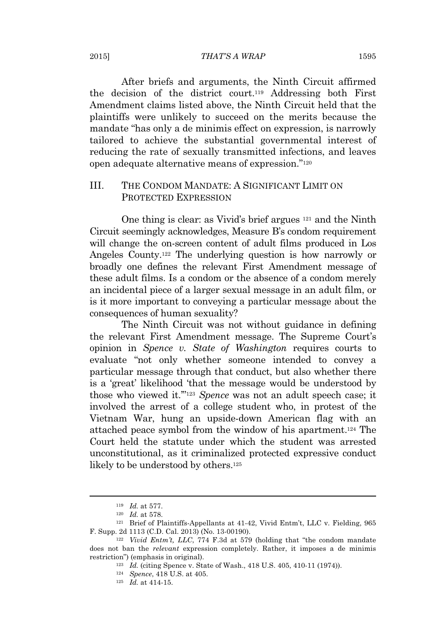#### 2015] *THAT'S A WRAP* 1595

After briefs and arguments, the Ninth Circuit affirmed the decision of the district court.<sup>119</sup> Addressing both First Amendment claims listed above, the Ninth Circuit held that the plaintiffs were unlikely to succeed on the merits because the mandate "has only a de minimis effect on expression, is narrowly tailored to achieve the substantial governmental interest of reducing the rate of sexually transmitted infections, and leaves open adequate alternative means of expression." 120

## III. THE CONDOM MANDATE: A SIGNIFICANT LIMIT ON PROTECTED EXPRESSION

One thing is clear: as Vivid's brief argues <sup>121</sup> and the Ninth Circuit seemingly acknowledges, Measure B's condom requirement will change the on-screen content of adult films produced in Los Angeles County.<sup>122</sup> The underlying question is how narrowly or broadly one defines the relevant First Amendment message of these adult films. Is a condom or the absence of a condom merely an incidental piece of a larger sexual message in an adult film, or is it more important to conveying a particular message about the consequences of human sexuality?

The Ninth Circuit was not without guidance in defining the relevant First Amendment message. The Supreme Court's opinion in *Spence v. State of Washington* requires courts to evaluate "not only whether someone intended to convey a particular message through that conduct, but also whether there is a 'great' likelihood 'that the message would be understood by those who viewed it.'" <sup>123</sup> *Spence* was not an adult speech case; it involved the arrest of a college student who, in protest of the Vietnam War, hung an upside-down American flag with an attached peace symbol from the window of his apartment.<sup>124</sup> The Court held the statute under which the student was arrested unconstitutional, as it criminalized protected expressive conduct likely to be understood by others.<sup>125</sup>

<sup>119</sup> *Id.* at 577.

<sup>120</sup> *Id.* at 578.

<sup>121</sup> Brief of Plaintiffs-Appellants at 41-42, Vivid Entm't, LLC v. Fielding, 965 F. Supp. 2d 1113 (C.D. Cal. 2013) (No. 13-00190).

<sup>122</sup> *Vivid Entm't, LLC*, 774 F.3d at 579 (holding that "the condom mandate does not ban the *relevant* expression completely. Rather, it imposes a de minimis restriction") (emphasis in original).

<sup>123</sup> *Id.* (citing Spence v. State of Wash., 418 U.S. 405, 410-11 (1974)).

<sup>124</sup> *Spence*, 418 U.S. at 405.

<sup>125</sup> *Id.* at 414-15.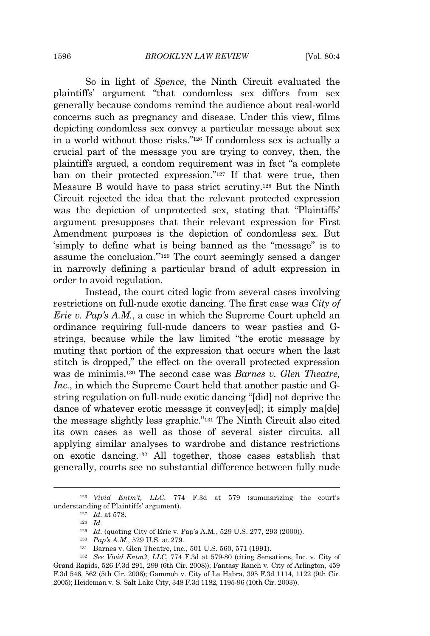So in light of *Spence*, the Ninth Circuit evaluated the plaintiffs' argument "that condomless sex differs from sex generally because condoms remind the audience about real-world concerns such as pregnancy and disease. Under this view, films depicting condomless sex convey a particular message about sex in a world without those risks." <sup>126</sup> If condomless sex is actually a crucial part of the message you are trying to convey, then, the plaintiffs argued, a condom requirement was in fact "a complete ban on their protected expression." <sup>127</sup> If that were true, then Measure B would have to pass strict scrutiny.<sup>128</sup> But the Ninth Circuit rejected the idea that the relevant protected expression was the depiction of unprotected sex, stating that "Plaintiffs" argument presupposes that their relevant expression for First Amendment purposes is the depiction of condomless sex. But 'simply to define what is being banned as the "message" is to assume the conclusion.'" <sup>129</sup> The court seemingly sensed a danger in narrowly defining a particular brand of adult expression in order to avoid regulation.

Instead, the court cited logic from several cases involving restrictions on full-nude exotic dancing. The first case was *City of Erie v. Pap's A.M.*, a case in which the Supreme Court upheld an ordinance requiring full-nude dancers to wear pasties and Gstrings, because while the law limited "the erotic message by muting that portion of the expression that occurs when the last stitch is dropped," the effect on the overall protected expression was de minimis.<sup>130</sup> The second case was *Barnes v. Glen Theatre, Inc.*, in which the Supreme Court held that another pastie and Gstring regulation on full-nude exotic dancing "[did] not deprive the dance of whatever erotic message it convey[ed]; it simply ma[de] the message slightly less graphic." <sup>131</sup> The Ninth Circuit also cited its own cases as well as those of several sister circuits, all applying similar analyses to wardrobe and distance restrictions on exotic dancing.<sup>132</sup> All together, those cases establish that generally, courts see no substantial difference between fully nude

<sup>126</sup> *Vivid Entm't, LLC*, 774 F.3d at 579 (summarizing the court's understanding of Plaintiffs' argument).

<sup>127</sup> *Id.* at 578.

<sup>128</sup> *Id.*

<sup>129</sup> *Id.* (quoting City of Erie v. Pap's A.M., 529 U.S. 277, 293 (2000)).

<sup>130</sup> *Pap's A.M.*, 529 U.S. at 279.

<sup>131</sup> Barnes v. Glen Theatre, Inc., 501 U.S. 560, 571 (1991).

<sup>132</sup> *See Vivid Entm't, LLC*, 774 F.3d at 579-80 (citing Sensations, Inc. v. City of Grand Rapids, 526 F.3d 291, 299 (6th Cir. 2008)); Fantasy Ranch v. City of Arlington, 459 F.3d 546, 562 (5th Cir. 2006); Gammoh v. City of La Habra, 395 F.3d 1114, 1122 (9th Cir. 2005); Heideman v. S. Salt Lake City, 348 F.3d 1182, 1195-96 (10th Cir. 2003)).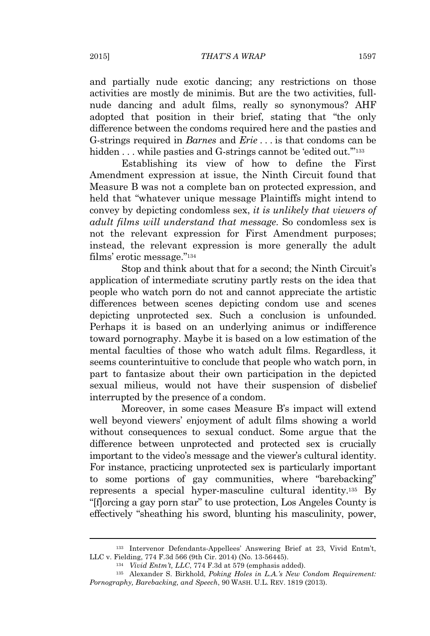and partially nude exotic dancing; any restrictions on those activities are mostly de minimis. But are the two activities, fullnude dancing and adult films, really so synonymous? AHF adopted that position in their brief, stating that "the only difference between the condoms required here and the pasties and G-strings required in *Barnes* and *Erie* . . . is that condoms can be hidden . . . while pasties and G-strings cannot be 'edited out."<sup>133</sup>

Establishing its view of how to define the First Amendment expression at issue, the Ninth Circuit found that Measure B was not a complete ban on protected expression, and held that "whatever unique message Plaintiffs might intend to convey by depicting condomless sex, *it is unlikely that viewers of adult films will understand that message*. So condomless sex is not the relevant expression for First Amendment purposes; instead, the relevant expression is more generally the adult films' erotic message." 134

Stop and think about that for a second; the Ninth Circuit's application of intermediate scrutiny partly rests on the idea that people who watch porn do not and cannot appreciate the artistic differences between scenes depicting condom use and scenes depicting unprotected sex. Such a conclusion is unfounded. Perhaps it is based on an underlying animus or indifference toward pornography. Maybe it is based on a low estimation of the mental faculties of those who watch adult films. Regardless, it seems counterintuitive to conclude that people who watch porn, in part to fantasize about their own participation in the depicted sexual milieus, would not have their suspension of disbelief interrupted by the presence of a condom.

Moreover, in some cases Measure B's impact will extend well beyond viewers' enjoyment of adult films showing a world without consequences to sexual conduct. Some argue that the difference between unprotected and protected sex is crucially important to the video's message and the viewer's cultural identity. For instance, practicing unprotected sex is particularly important to some portions of gay communities, where "barebacking" represents a special hyper-masculine cultural identity.<sup>135</sup> By "[f]orcing a gay porn star" to use protection, Los Angeles County is effectively "sheathing his sword, blunting his masculinity, power,

<sup>133</sup> Intervenor Defendants-Appellees' Answering Brief at 23, Vivid Entm't, LLC v. Fielding, 774 F.3d 566 (9th Cir. 2014) (No. 13-56445).

<sup>134</sup> *Vivid Entm't, LLC*, 774 F.3d at 579 (emphasis added).

<sup>135</sup> Alexander S. Birkhold, *Poking Holes in L.A.'s New Condom Requirement: Pornography, Barebacking, and Speech*, 90 WASH. U.L. REV. 1819 (2013).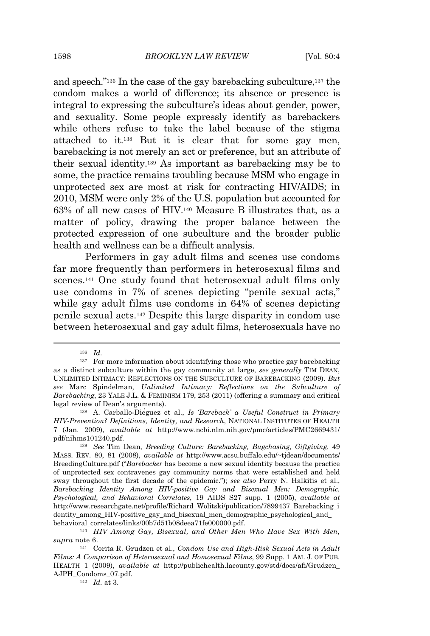and speech." <sup>136</sup> In the case of the gay barebacking subculture,<sup>137</sup> the condom makes a world of difference; its absence or presence is integral to expressing the subculture's ideas about gender, power, and sexuality. Some people expressly identify as barebackers while others refuse to take the label because of the stigma attached to it.<sup>138</sup> But it is clear that for some gay men, barebacking is not merely an act or preference, but an attribute of their sexual identity.<sup>139</sup> As important as barebacking may be to some, the practice remains troubling because MSM who engage in unprotected sex are most at risk for contracting HIV/AIDS; in 2010, MSM were only 2% of the U.S. population but accounted for 63% of all new cases of HIV.<sup>140</sup> Measure B illustrates that, as a matter of policy, drawing the proper balance between the protected expression of one subculture and the broader public health and wellness can be a difficult analysis.

Performers in gay adult films and scenes use condoms far more frequently than performers in heterosexual films and scenes.<sup>141</sup> One study found that heterosexual adult films only use condoms in 7% of scenes depicting "penile sexual acts," while gay adult films use condoms in 64% of scenes depicting penile sexual acts.<sup>142</sup> Despite this large disparity in condom use between heterosexual and gay adult films, heterosexuals have no

<sup>142</sup> *Id.* at 3.

<sup>136</sup> *Id.*

<sup>137</sup> For more information about identifying those who practice gay barebacking as a distinct subculture within the gay community at large, *see generally* TIM DEAN, UNLIMITED INTIMACY: REFLECTIONS ON THE SUBCULTURE OF BAREBACKING (2009). *But see* Marc Spindelman, *Unlimited Intimacy: Reflections on the Subculture of Barebacking*, 23 YALE J.L. & FEMINISM 179, 253 (2011) (offering a summary and critical legal review of Dean's arguments).

<sup>138</sup> A. Carballo-Diéguez et al., *Is 'Bareback' a Useful Construct in Primary HIV-Prevention? Definitions, Identity, and Research*, NATIONAL INSTITUTES OF HEALTH 7 (Jan. 2009), *available at* http://www.ncbi.nlm.nih.gov/pmc/articles/PMC2669431/ pdf/nihms101240.pdf.

<sup>139</sup> *See* Tim Dean, *Breeding Culture: Barebacking, Bugchasing, Giftgiving*, 49 MASS. REV. 80, 81 (2008), *available at* http://www.acsu.buffalo.edu/~tjdean/documents/ BreedingCulture.pdf ("*Barebacker* has become a new sexual identity because the practice of unprotected sex contravenes gay community norms that were established and held sway throughout the first decade of the epidemic."); *see also* Perry N. Halkitis et al., *Barebacking Identity Among HIV-positive Gay and Bisexual Men: Demographic, Psychological, and Behavioral Correlates*, 19 AIDS S27 supp. 1 (2005), *available at* http://www.researchgate.net/profile/Richard\_Wolitski/publication/7899437\_Barebacking\_i dentity among HIV-positive gay and bisexual men demographic psychological and behavioral\_correlates/links/00b7d51b08deea71fe000000.pdf.

<sup>140</sup> *HIV Among Gay, Bisexual, and Other Men Who Have Sex With Men*, *supra* note 6.

<sup>141</sup> Corita R. Grudzen et al., *Condom Use and High-Risk Sexual Acts in Adult Films: A Comparison of Heterosexual and Homosexual Films*, 99 Supp. 1 AM. J. OF PUB. HEALTH 1 (2009), *available at* http://publichealth.lacounty.gov/std/docs/afi/Grudzen\_ AJPH\_Condoms\_07.pdf.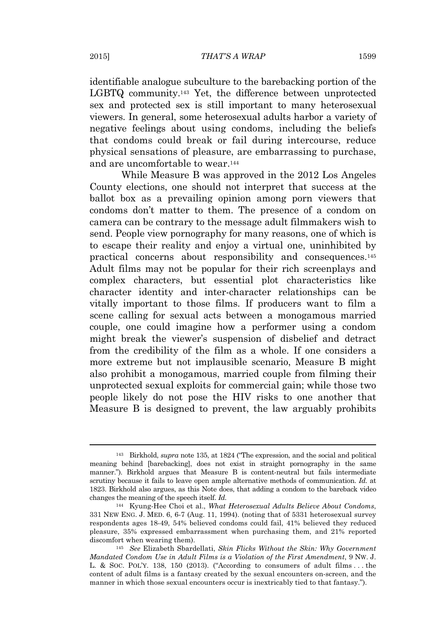identifiable analogue subculture to the barebacking portion of the LGBTQ community.<sup>143</sup> Yet, the difference between unprotected sex and protected sex is still important to many heterosexual viewers. In general, some heterosexual adults harbor a variety of negative feelings about using condoms, including the beliefs that condoms could break or fail during intercourse, reduce physical sensations of pleasure, are embarrassing to purchase, and are uncomfortable to wear.<sup>144</sup>

While Measure B was approved in the 2012 Los Angeles County elections, one should not interpret that success at the ballot box as a prevailing opinion among porn viewers that condoms don't matter to them. The presence of a condom on camera can be contrary to the message adult filmmakers wish to send. People view pornography for many reasons, one of which is to escape their reality and enjoy a virtual one, uninhibited by practical concerns about responsibility and consequences.<sup>145</sup> Adult films may not be popular for their rich screenplays and complex characters, but essential plot characteristics like character identity and inter-character relationships can be vitally important to those films. If producers want to film a scene calling for sexual acts between a monogamous married couple, one could imagine how a performer using a condom might break the viewer's suspension of disbelief and detract from the credibility of the film as a whole. If one considers a more extreme but not implausible scenario, Measure B might also prohibit a monogamous, married couple from filming their unprotected sexual exploits for commercial gain; while those two people likely do not pose the HIV risks to one another that Measure B is designed to prevent, the law arguably prohibits

<sup>143</sup> Birkhold, *supra* note 135, at 1824 ("The expression, and the social and political meaning behind [barebacking], does not exist in straight pornography in the same manner."). Birkhold argues that Measure B is content-neutral but fails intermediate scrutiny because it fails to leave open ample alternative methods of communication. *Id.* at 1823. Birkhold also argues, as this Note does, that adding a condom to the bareback video changes the meaning of the speech itself. *Id.*

<sup>144</sup> Kyung-Hee Choi et al., *What Heterosexual Adults Believe About Condoms*, 331 NEW ENG. J. MED. 6, 6-7 (Aug. 11, 1994). (noting that of 5331 heterosexual survey respondents ages 18-49, 54% believed condoms could fail, 41% believed they reduced pleasure, 35% expressed embarrassment when purchasing them, and 21% reported discomfort when wearing them).

<sup>145</sup> *See* Elizabeth Sbardellati, *Skin Flicks Without the Skin: Why Government Mandated Condom Use in Adult Films is a Violation of the First Amendment*, 9 NW. J. L. & SOC. POL'Y. 138, 150 (2013). ("According to consumers of adult films . . . the content of adult films is a fantasy created by the sexual encounters on-screen, and the manner in which those sexual encounters occur is inextricably tied to that fantasy.").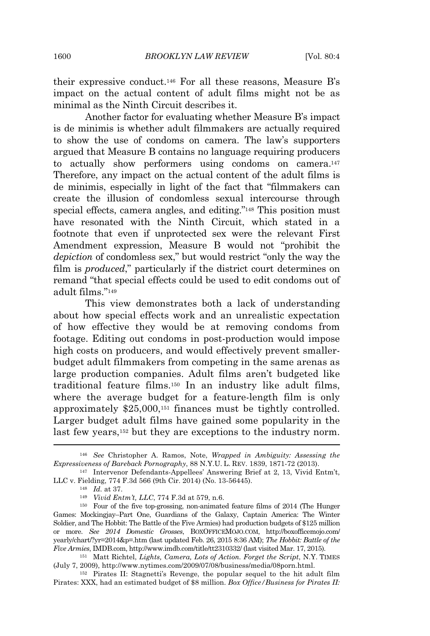their expressive conduct.<sup>146</sup> For all these reasons, Measure B's impact on the actual content of adult films might not be as minimal as the Ninth Circuit describes it.

Another factor for evaluating whether Measure B's impact is de minimis is whether adult filmmakers are actually required to show the use of condoms on camera. The law's supporters argued that Measure B contains no language requiring producers to actually show performers using condoms on camera.<sup>147</sup> Therefore, any impact on the actual content of the adult films is de minimis, especially in light of the fact that "filmmakers can create the illusion of condomless sexual intercourse through special effects, camera angles, and editing." <sup>148</sup> This position must have resonated with the Ninth Circuit, which stated in a footnote that even if unprotected sex were the relevant First Amendment expression, Measure B would not "prohibit the *depiction* of condomless sex," but would restrict "only the way the film is *produced*," particularly if the district court determines on remand "that special effects could be used to edit condoms out of adult films." 149

This view demonstrates both a lack of understanding about how special effects work and an unrealistic expectation of how effective they would be at removing condoms from footage. Editing out condoms in post-production would impose high costs on producers, and would effectively prevent smallerbudget adult filmmakers from competing in the same arenas as large production companies. Adult films aren't budgeted like traditional feature films.<sup>150</sup> In an industry like adult films, where the average budget for a feature-length film is only approximately \$25,000,<sup>151</sup> finances must be tightly controlled. Larger budget adult films have gained some popularity in the last few years,<sup>152</sup> but they are exceptions to the industry norm.

<sup>146</sup> *See* Christopher A. Ramos, Note, *Wrapped in Ambiguity: Assessing the Expressiveness of Bareback Pornography*, 88 N.Y.U. L. REV. 1839, 1871-72 (2013).

<sup>147</sup> Intervenor Defendants-Appellees' Answering Brief at 2, 13, Vivid Entm't, LLC v. Fielding, 774 F.3d 566 (9th Cir. 2014) (No. 13-56445).

<sup>148</sup> *Id.* at 37.

<sup>149</sup> *Vivid Entm't, LLC*, 774 F.3d at 579, n.6.

<sup>150</sup> Four of the five top-grossing, non-animated feature films of 2014 (The Hunger Games: Mockingjay–Part One, Guardians of the Galaxy, Captain America: The Winter Soldier, and The Hobbit: The Battle of the Five Armies) had production budgets of \$125 million or more. *See 2014 Domestic Grosses*, BOXOFFICEMOJO.COM, http://boxofficemojo.com/ yearly/chart/?yr=2014&p=.htm (last updated Feb. 26, 2015 8:36 AM); *The Hobbit: Battle of the Five Armies*, IMDB.com, http://www.imdb.com/title/tt2310332/ (last visited Mar. 17, 2015).

<sup>151</sup> Matt Richtel, *Lights, Camera, Lots of Action. Forget the Script*, N.Y. TIMES (July 7, 2009), http://www.nytimes.com/2009/07/08/business/media/08porn.html.

<sup>152</sup> Pirates II: Stagnetti's Revenge, the popular sequel to the hit adult film Pirates: XXX, had an estimated budget of \$8 million. *Box Office/Business for Pirates II:*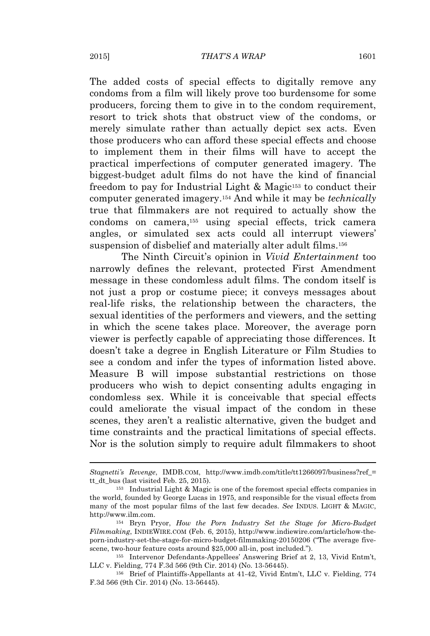The added costs of special effects to digitally remove any condoms from a film will likely prove too burdensome for some producers, forcing them to give in to the condom requirement, resort to trick shots that obstruct view of the condoms, or merely simulate rather than actually depict sex acts. Even those producers who can afford these special effects and choose to implement them in their films will have to accept the practical imperfections of computer generated imagery. The biggest-budget adult films do not have the kind of financial freedom to pay for Industrial Light  $\&$  Magic<sup>153</sup> to conduct their computer generated imagery.<sup>154</sup> And while it may be *technically* true that filmmakers are not required to actually show the condoms on camera,<sup>155</sup> using special effects, trick camera angles, or simulated sex acts could all interrupt viewers' suspension of disbelief and materially alter adult films.<sup>156</sup>

The Ninth Circuit's opinion in *Vivid Entertainment* too narrowly defines the relevant, protected First Amendment message in these condomless adult films. The condom itself is not just a prop or costume piece; it conveys messages about real-life risks, the relationship between the characters, the sexual identities of the performers and viewers, and the setting in which the scene takes place. Moreover, the average porn viewer is perfectly capable of appreciating those differences. It doesn't take a degree in English Literature or Film Studies to see a condom and infer the types of information listed above. Measure B will impose substantial restrictions on those producers who wish to depict consenting adults engaging in condomless sex. While it is conceivable that special effects could ameliorate the visual impact of the condom in these scenes, they aren't a realistic alternative, given the budget and time constraints and the practical limitations of special effects. Nor is the solution simply to require adult filmmakers to shoot

*Stagnetti's Revenge*, IMDB.COM, http://www.imdb.com/title/tt1266097/business?ref\_= tt\_dt\_bus (last visited Feb. 25, 2015).

<sup>153</sup> Industrial Light & Magic is one of the foremost special effects companies in the world, founded by George Lucas in 1975, and responsible for the visual effects from many of the most popular films of the last few decades. *See* INDUS. LIGHT & MAGIC, http://www.ilm.com.

<sup>154</sup> Bryn Pryor, *How the Porn Industry Set the Stage for Micro-Budget Filmmaking*, INDIEWIRE.COM (Feb. 6, 2015), http://www.indiewire.com/article/how-theporn-industry-set-the-stage-for-micro-budget-filmmaking-20150206 ("The average fivescene, two-hour feature costs around \$25,000 all-in, post included.").

<sup>155</sup> Intervenor Defendants-Appellees' Answering Brief at 2, 13, Vivid Entm't, LLC v. Fielding, 774 F.3d 566 (9th Cir. 2014) (No. 13-56445).

<sup>156</sup> Brief of Plaintiffs-Appellants at 41-42, Vivid Entm't, LLC v. Fielding, 774 F.3d 566 (9th Cir. 2014) (No. 13-56445).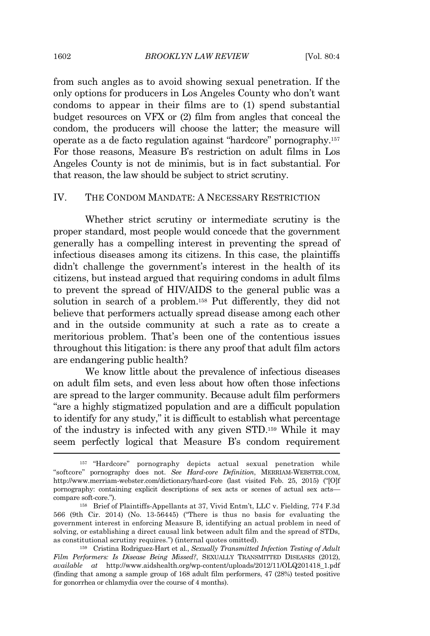from such angles as to avoid showing sexual penetration. If the only options for producers in Los Angeles County who don't want condoms to appear in their films are to (1) spend substantial budget resources on VFX or (2) film from angles that conceal the condom, the producers will choose the latter; the measure will operate as a de facto regulation against "hardcore" pornography.<sup>157</sup> For those reasons, Measure B's restriction on adult films in Los Angeles County is not de minimis, but is in fact substantial. For that reason, the law should be subject to strict scrutiny.

#### IV. THE CONDOM MANDATE: A NECESSARY RESTRICTION

Whether strict scrutiny or intermediate scrutiny is the proper standard, most people would concede that the government generally has a compelling interest in preventing the spread of infectious diseases among its citizens. In this case, the plaintiffs didn't challenge the government's interest in the health of its citizens, but instead argued that requiring condoms in adult films to prevent the spread of HIV/AIDS to the general public was a solution in search of a problem.<sup>158</sup> Put differently, they did not believe that performers actually spread disease among each other and in the outside community at such a rate as to create a meritorious problem. That's been one of the contentious issues throughout this litigation: is there any proof that adult film actors are endangering public health?

We know little about the prevalence of infectious diseases on adult film sets, and even less about how often those infections are spread to the larger community. Because adult film performers "are a highly stigmatized population and are a difficult population to identify for any study," it is difficult to establish what percentage of the industry is infected with any given STD.<sup>159</sup> While it may seem perfectly logical that Measure B's condom requirement

<sup>157</sup> "Hardcore" pornography depicts actual sexual penetration while "softcore" pornography does not. *See Hard-core Definition*, MERRIAM-WEBSTER.COM, http://www.merriam-webster.com/dictionary/hard-core (last visited Feb. 25, 2015) ("[O]f pornography: containing explicit descriptions of sex acts or scenes of actual sex acts compare soft-core.").

<sup>158</sup> Brief of Plaintiffs-Appellants at 37, Vivid Entm't, LLC v. Fielding, 774 F.3d 566 (9th Cir. 2014) (No. 13-56445) ("There is thus no basis for evaluating the government interest in enforcing Measure B, identifying an actual problem in need of solving, or establishing a direct causal link between adult film and the spread of STDs, as constitutional scrutiny requires.") (internal quotes omitted).

<sup>159</sup> Cristina Rodriguez-Hart et al., *Sexually Transmitted Infection Testing of Adult Film Performers: Is Disease Being Missed?*, SEXUALLY TRANSMITTED DISEASES (2012), *available at* http://www.aidshealth.org/wp-content/uploads/2012/11/OLQ201418\_1.pdf (finding that among a sample group of 168 adult film performers, 47 (28%) tested positive for gonorrhea or chlamydia over the course of 4 months).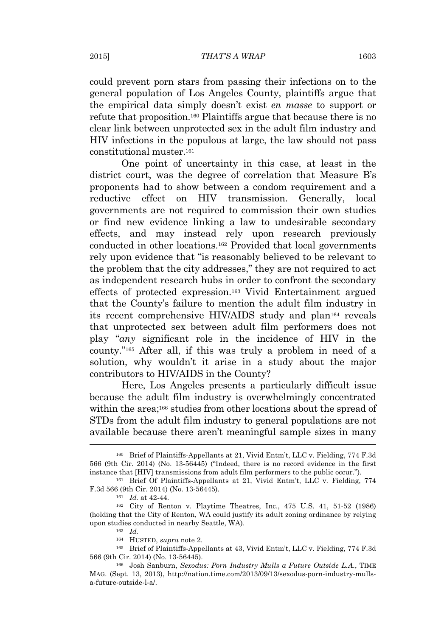could prevent porn stars from passing their infections on to the general population of Los Angeles County, plaintiffs argue that the empirical data simply doesn't exist *en masse* to support or refute that proposition.<sup>160</sup> Plaintiffs argue that because there is no clear link between unprotected sex in the adult film industry and HIV infections in the populous at large, the law should not pass constitutional muster.<sup>161</sup>

One point of uncertainty in this case, at least in the district court, was the degree of correlation that Measure B's proponents had to show between a condom requirement and a reductive effect on HIV transmission. Generally, local governments are not required to commission their own studies or find new evidence linking a law to undesirable secondary effects, and may instead rely upon research previously conducted in other locations.<sup>162</sup> Provided that local governments rely upon evidence that "is reasonably believed to be relevant to the problem that the city addresses," they are not required to act as independent research hubs in order to confront the secondary effects of protected expression.<sup>163</sup> Vivid Entertainment argued that the County's failure to mention the adult film industry in its recent comprehensive HIV/AIDS study and plan<sup>164</sup> reveals that unprotected sex between adult film performers does not play "*any* significant role in the incidence of HIV in the county." <sup>165</sup> After all, if this was truly a problem in need of a solution, why wouldn't it arise in a study about the major contributors to HIV/AIDS in the County?

Here, Los Angeles presents a particularly difficult issue because the adult film industry is overwhelmingly concentrated within the area;<sup>166</sup> studies from other locations about the spread of STDs from the adult film industry to general populations are not available because there aren't meaningful sample sizes in many

<sup>160</sup> Brief of Plaintiffs-Appellants at 21, Vivid Entm't, LLC v. Fielding, 774 F.3d 566 (9th Cir. 2014) (No. 13-56445) ("Indeed, there is no record evidence in the first instance that [HIV] transmissions from adult film performers to the public occur.").

<sup>161</sup> Brief Of Plaintiffs-Appellants at 21, Vivid Entm't, LLC v. Fielding, 774 F.3d 566 (9th Cir. 2014) (No. 13-56445).

<sup>161</sup> *Id.* at 42-44.

<sup>162</sup> City of Renton v. Playtime Theatres, Inc., 475 U.S. 41, 51-52 (1986) (holding that the City of Renton, WA could justify its adult zoning ordinance by relying upon studies conducted in nearby Seattle, WA).

<sup>163</sup> *Id.*

<sup>164</sup> HUSTED, *supra* note 2.

<sup>165</sup> Brief of Plaintiffs-Appellants at 43, Vivid Entm't, LLC v. Fielding, 774 F.3d 566 (9th Cir. 2014) (No. 13-56445).

<sup>166</sup> Josh Sanburn, *Sexodus: Porn Industry Mulls a Future Outside L.A.*, TIME MAG. (Sept. 13, 2013), http://nation.time.com/2013/09/13/sexodus-porn-industry-mullsa-future-outside-l-a/.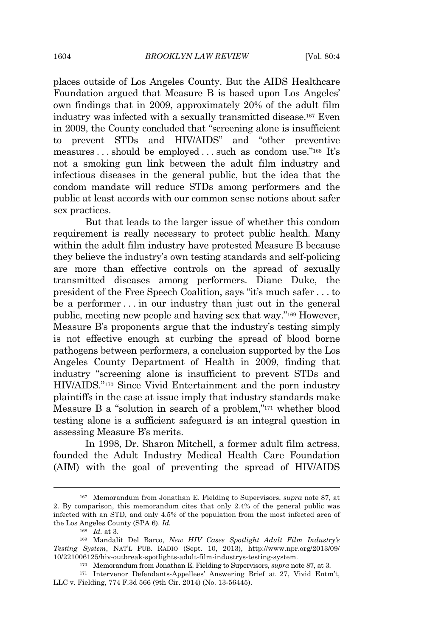places outside of Los Angeles County. But the AIDS Healthcare Foundation argued that Measure B is based upon Los Angeles' own findings that in 2009, approximately 20% of the adult film industry was infected with a sexually transmitted disease.<sup>167</sup> Even in 2009, the County concluded that "screening alone is insufficient to prevent STDs and HIV/AIDS" and "other preventive measures . . . should be employed . . . such as condom use." <sup>168</sup> It's not a smoking gun link between the adult film industry and infectious diseases in the general public, but the idea that the condom mandate will reduce STDs among performers and the public at least accords with our common sense notions about safer sex practices.

But that leads to the larger issue of whether this condom requirement is really necessary to protect public health. Many within the adult film industry have protested Measure B because they believe the industry's own testing standards and self-policing are more than effective controls on the spread of sexually transmitted diseases among performers. Diane Duke, the president of the Free Speech Coalition, says "it's much safer . . . to be a performer . . . in our industry than just out in the general public, meeting new people and having sex that way." <sup>169</sup> However, Measure B's proponents argue that the industry's testing simply is not effective enough at curbing the spread of blood borne pathogens between performers, a conclusion supported by the Los Angeles County Department of Health in 2009, finding that industry "screening alone is insufficient to prevent STDs and HIV/AIDS." <sup>170</sup> Since Vivid Entertainment and the porn industry plaintiffs in the case at issue imply that industry standards make Measure B a "solution in search of a problem," <sup>171</sup> whether blood testing alone is a sufficient safeguard is an integral question in assessing Measure B's merits.

In 1998, Dr. Sharon Mitchell, a former adult film actress, founded the Adult Industry Medical Health Care Foundation (AIM) with the goal of preventing the spread of HIV/AIDS

<sup>167</sup> Memorandum from Jonathan E. Fielding to Supervisors, *supra* note 87, at 2. By comparison, this memorandum cites that only 2.4% of the general public was infected with an STD, and only 4.5% of the population from the most infected area of the Los Angeles County (SPA 6). *Id.*

<sup>168</sup> *Id.* at 3.

<sup>169</sup> Mandalit Del Barco, *New HIV Cases Spotlight Adult Film Industry's Testing System*, NAT'L PUB. RADIO (Sept. 10, 2013), http://www.npr.org/2013/09/ 10/221006125/hiv-outbreak-spotlights-adult-film-industrys-testing-system.

<sup>170</sup> Memorandum from Jonathan E. Fielding to Supervisors, *supra* note 87, at 3.

<sup>171</sup> Intervenor Defendants-Appellees' Answering Brief at 27, Vivid Entm't, LLC v. Fielding, 774 F.3d 566 (9th Cir. 2014) (No. 13-56445).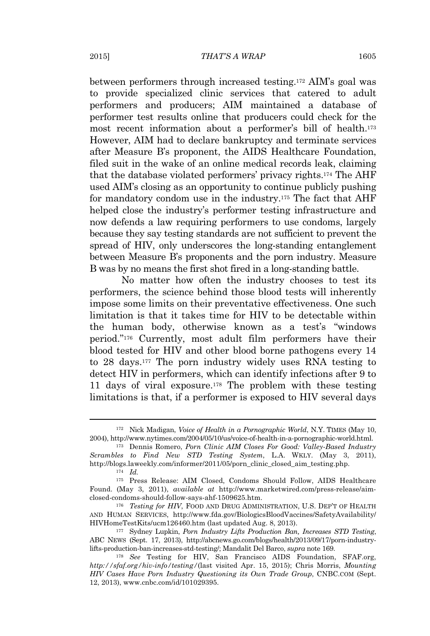between performers through increased testing.<sup>172</sup> AIM's goal was to provide specialized clinic services that catered to adult performers and producers; AIM maintained a database of performer test results online that producers could check for the most recent information about a performer's bill of health.<sup>173</sup> However, AIM had to declare bankruptcy and terminate services after Measure B's proponent, the AIDS Healthcare Foundation, filed suit in the wake of an online medical records leak, claiming that the database violated performers' privacy rights.<sup>174</sup> The AHF used AIM's closing as an opportunity to continue publicly pushing for mandatory condom use in the industry.<sup>175</sup> The fact that AHF helped close the industry's performer testing infrastructure and now defends a law requiring performers to use condoms, largely because they say testing standards are not sufficient to prevent the spread of HIV, only underscores the long-standing entanglement between Measure B's proponents and the porn industry. Measure B was by no means the first shot fired in a long-standing battle.

No matter how often the industry chooses to test its performers, the science behind those blood tests will inherently impose some limits on their preventative effectiveness. One such limitation is that it takes time for HIV to be detectable within the human body, otherwise known as a test's "windows period." <sup>176</sup> Currently, most adult film performers have their blood tested for HIV and other blood borne pathogens every 14 to 28 days.<sup>177</sup> The porn industry widely uses RNA testing to detect HIV in performers, which can identify infections after 9 to 11 days of viral exposure.<sup>178</sup> The problem with these testing limitations is that, if a performer is exposed to HIV several days

<sup>172</sup> Nick Madigan, *Voice of Health in a Pornographic World*, N.Y. TIMES (May 10, 2004), http://www.nytimes.com/2004/05/10/us/voice-of-health-in-a-pornographic-world.html.

<sup>173</sup> Dennis Romero, *Porn Clinic AIM Closes For Good: Valley-Based Industry Scrambles to Find New STD Testing System*, L.A. WKLY. (May 3, 2011), http://blogs.laweekly.com/informer/2011/05/porn\_clinic\_closed\_aim\_testing.php.

<sup>174</sup> *Id.*

<sup>175</sup> Press Release: AIM Closed, Condoms Should Follow, AIDS Healthcare Found. (May 3, 2011), *available at* http://www.marketwired.com/press-release/aimclosed-condoms-should-follow-says-ahf-1509625.htm.

<sup>176</sup> *Testing for HIV*, FOOD AND DRUG ADMINISTRATION, U.S. DEP'T OF HEALTH AND HUMAN SERVICES, http://www.fda.gov/BiologicsBloodVaccines/SafetyAvailability/ HIVHomeTestKits/ucm126460.htm (last updated Aug. 8, 2013).

<sup>177</sup> Sydney Lupkin, *Porn Industry Lifts Production Ban, Increases STD Testing*, ABC NEWS (Sept. 17, 2013), http://abcnews.go.com/blogs/health/2013/09/17/porn-industrylifts-production-ban-increases-std-testing/; Mandalit Del Barco, *supra* note 169.

<sup>178</sup> *See* Testing for HIV, San Francisco AIDS Foundation, SFAF.org, *http://sfaf.org/hiv-info/testing/*(last visited Apr. 15, 2015); Chris Morris, *Mounting HIV Cases Have Porn Industry Questioning its Own Trade Group*, CNBC.COM (Sept. 12, 2013), www.cnbc.com/id/101029395.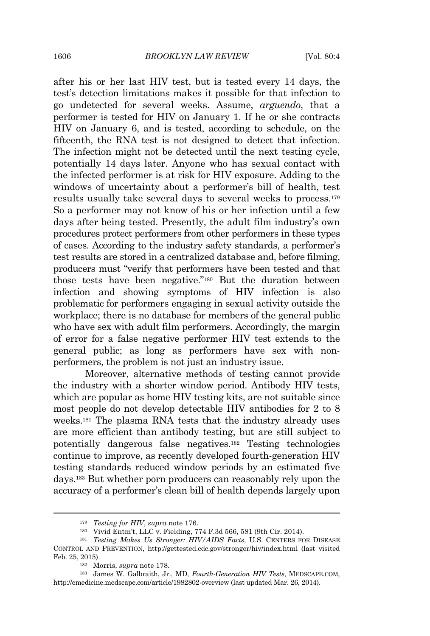after his or her last HIV test, but is tested every 14 days, the test's detection limitations makes it possible for that infection to go undetected for several weeks. Assume, *arguendo*, that a performer is tested for HIV on January 1. If he or she contracts HIV on January 6, and is tested, according to schedule, on the fifteenth, the RNA test is not designed to detect that infection. The infection might not be detected until the next testing cycle, potentially 14 days later. Anyone who has sexual contact with the infected performer is at risk for HIV exposure. Adding to the windows of uncertainty about a performer's bill of health, test results usually take several days to several weeks to process.<sup>179</sup> So a performer may not know of his or her infection until a few days after being tested. Presently, the adult film industry's own procedures protect performers from other performers in these types of cases. According to the industry safety standards, a performer's test results are stored in a centralized database and, before filming, producers must "verify that performers have been tested and that those tests have been negative." <sup>180</sup> But the duration between infection and showing symptoms of HIV infection is also problematic for performers engaging in sexual activity outside the workplace; there is no database for members of the general public who have sex with adult film performers. Accordingly, the margin of error for a false negative performer HIV test extends to the general public; as long as performers have sex with nonperformers, the problem is not just an industry issue.

Moreover, alternative methods of testing cannot provide the industry with a shorter window period. Antibody HIV tests, which are popular as home HIV testing kits, are not suitable since most people do not develop detectable HIV antibodies for 2 to 8 weeks.<sup>181</sup> The plasma RNA tests that the industry already uses are more efficient than antibody testing, but are still subject to potentially dangerous false negatives.<sup>182</sup> Testing technologies continue to improve, as recently developed fourth-generation HIV testing standards reduced window periods by an estimated five days.<sup>183</sup> But whether porn producers can reasonably rely upon the accuracy of a performer's clean bill of health depends largely upon

<sup>179</sup> *Testing for HIV*, *supra* note 176.

<sup>180</sup> Vivid Entm't, LLC v. Fielding, 774 F.3d 566, 581 (9th Cir. 2014).

<sup>181</sup> *Testing Makes Us Stronger: HIV/AIDS Facts*, U.S. CENTERS FOR DISEASE CONTROL AND PREVENTION, http://gettested.cdc.gov/stronger/hiv/index.html (last visited Feb. 25, 2015).

<sup>182</sup> Morris, *supra* note 178.

<sup>183</sup> James W. Galbraith, Jr., MD, *Fourth-Generation HIV Tests*, MEDSCAPE.COM, http://emedicine.medscape.com/article/1982802-overview (last updated Mar. 26, 2014).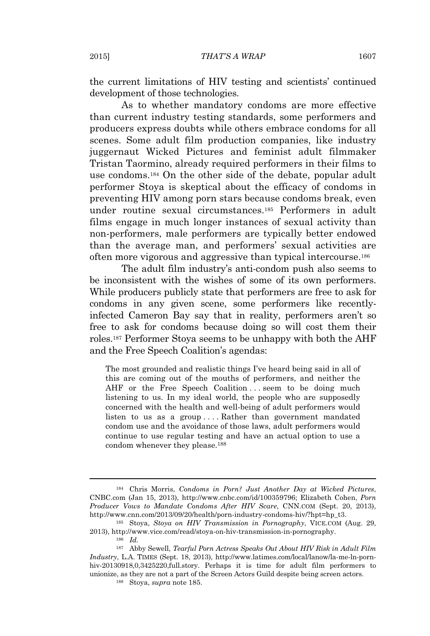the current limitations of HIV testing and scientists' continued development of those technologies.

As to whether mandatory condoms are more effective than current industry testing standards, some performers and producers express doubts while others embrace condoms for all scenes. Some adult film production companies, like industry juggernaut Wicked Pictures and feminist adult filmmaker Tristan Taormino, already required performers in their films to use condoms.<sup>184</sup> On the other side of the debate, popular adult performer Stoya is skeptical about the efficacy of condoms in preventing HIV among porn stars because condoms break, even under routine sexual circumstances.<sup>185</sup> Performers in adult films engage in much longer instances of sexual activity than non-performers, male performers are typically better endowed than the average man, and performers' sexual activities are often more vigorous and aggressive than typical intercourse.<sup>186</sup>

The adult film industry's anti-condom push also seems to be inconsistent with the wishes of some of its own performers. While producers publicly state that performers are free to ask for condoms in any given scene, some performers like recentlyinfected Cameron Bay say that in reality, performers aren't so free to ask for condoms because doing so will cost them their roles.<sup>187</sup> Performer Stoya seems to be unhappy with both the AHF and the Free Speech Coalition's agendas:

The most grounded and realistic things I've heard being said in all of this are coming out of the mouths of performers, and neither the AHF or the Free Speech Coalition ... seem to be doing much listening to us. In my ideal world, the people who are supposedly concerned with the health and well-being of adult performers would listen to us as a group . . . . Rather than government mandated condom use and the avoidance of those laws, adult performers would continue to use regular testing and have an actual option to use a condom whenever they please.<sup>188</sup>

<sup>184</sup> Chris Morris, *Condoms in Porn? Just Another Day at Wicked Pictures*, CNBC.com (Jan 15, 2013), http://www.cnbc.com/id/100359796; Elizabeth Cohen, *Porn Producer Vows to Mandate Condoms After HIV Scare*, CNN.COM (Sept. 20, 2013), http://www.cnn.com/2013/09/20/health/porn-industry-condoms-hiv/?hpt=hp\_t3.

<sup>185</sup> Stoya, *Stoya on HIV Transmission in Pornography*, VICE.COM (Aug. 29, 2013), http://www.vice.com/read/stoya-on-hiv-transmission-in-pornography.

<sup>186</sup> *Id.*

<sup>187</sup> Abby Sewell, *Tearful Porn Actress Speaks Out About HIV Risk in Adult Film Industry*, L.A. TIMES (Sept. 18, 2013), http://www.latimes.com/local/lanow/la-me-ln-pornhiv-20130918,0,3425220,full.story. Perhaps it is time for adult film performers to unionize, as they are not a part of the Screen Actors Guild despite being screen actors.

<sup>188</sup> Stoya, *supra* note 185.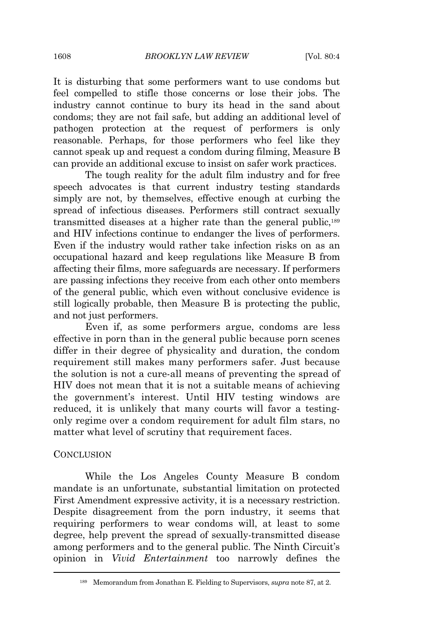It is disturbing that some performers want to use condoms but feel compelled to stifle those concerns or lose their jobs. The industry cannot continue to bury its head in the sand about condoms; they are not fail safe, but adding an additional level of pathogen protection at the request of performers is only reasonable. Perhaps, for those performers who feel like they cannot speak up and request a condom during filming, Measure B can provide an additional excuse to insist on safer work practices.

The tough reality for the adult film industry and for free speech advocates is that current industry testing standards simply are not, by themselves, effective enough at curbing the spread of infectious diseases. Performers still contract sexually transmitted diseases at a higher rate than the general public,<sup>189</sup> and HIV infections continue to endanger the lives of performers. Even if the industry would rather take infection risks on as an occupational hazard and keep regulations like Measure B from affecting their films, more safeguards are necessary. If performers are passing infections they receive from each other onto members of the general public, which even without conclusive evidence is still logically probable, then Measure B is protecting the public, and not just performers.

Even if, as some performers argue, condoms are less effective in porn than in the general public because porn scenes differ in their degree of physicality and duration, the condom requirement still makes many performers safer. Just because the solution is not a cure-all means of preventing the spread of HIV does not mean that it is not a suitable means of achieving the government's interest. Until HIV testing windows are reduced, it is unlikely that many courts will favor a testingonly regime over a condom requirement for adult film stars, no matter what level of scrutiny that requirement faces.

#### **CONCLUSION**

While the Los Angeles County Measure B condom mandate is an unfortunate, substantial limitation on protected First Amendment expressive activity, it is a necessary restriction. Despite disagreement from the porn industry, it seems that requiring performers to wear condoms will, at least to some degree, help prevent the spread of sexually-transmitted disease among performers and to the general public. The Ninth Circuit's opinion in *Vivid Entertainment* too narrowly defines the

<sup>189</sup> Memorandum from Jonathan E. Fielding to Supervisors, *supra* note 87, at 2.